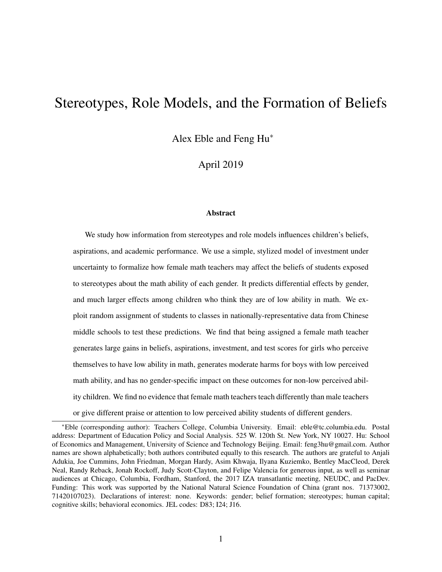# Stereotypes, Role Models, and the Formation of Beliefs

Alex Eble and Feng Hu<sup>∗</sup>

April 2019

#### Abstract

We study how information from stereotypes and role models influences children's beliefs, aspirations, and academic performance. We use a simple, stylized model of investment under uncertainty to formalize how female math teachers may affect the beliefs of students exposed to stereotypes about the math ability of each gender. It predicts differential effects by gender, and much larger effects among children who think they are of low ability in math. We exploit random assignment of students to classes in nationally-representative data from Chinese middle schools to test these predictions. We find that being assigned a female math teacher generates large gains in beliefs, aspirations, investment, and test scores for girls who perceive themselves to have low ability in math, generates moderate harms for boys with low perceived math ability, and has no gender-specific impact on these outcomes for non-low perceived ability children. We find no evidence that female math teachers teach differently than male teachers or give different praise or attention to low perceived ability students of different genders.

<sup>∗</sup>Eble (corresponding author): Teachers College, Columbia University. Email: eble@tc.columbia.edu. Postal address: Department of Education Policy and Social Analysis. 525 W. 120th St. New York, NY 10027. Hu: School of Economics and Management, University of Science and Technology Beijing. Email: feng3hu@gmail.com. Author names are shown alphabetically; both authors contributed equally to this research. The authors are grateful to Anjali Adukia, Joe Cummins, John Friedman, Morgan Hardy, Asim Khwaja, Ilyana Kuziemko, Bentley MacCleod, Derek Neal, Randy Reback, Jonah Rockoff, Judy Scott-Clayton, and Felipe Valencia for generous input, as well as seminar audiences at Chicago, Columbia, Fordham, Stanford, the 2017 IZA transatlantic meeting, NEUDC, and PacDev. Funding: This work was supported by the National Natural Science Foundation of China (grant nos. 71373002, 71420107023). Declarations of interest: none. Keywords: gender; belief formation; stereotypes; human capital; cognitive skills; behavioral economics. JEL codes: D83; I24; J16.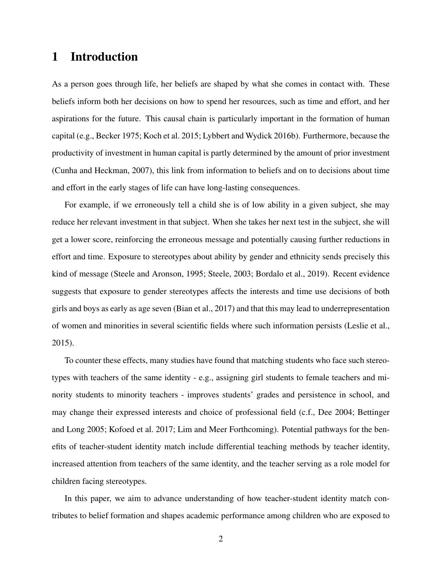## 1 Introduction

As a person goes through life, her beliefs are shaped by what she comes in contact with. These beliefs inform both her decisions on how to spend her resources, such as time and effort, and her aspirations for the future. This causal chain is particularly important in the formation of human capital (e.g., Becker 1975; Koch et al. 2015; Lybbert and Wydick 2016b). Furthermore, because the productivity of investment in human capital is partly determined by the amount of prior investment (Cunha and Heckman, 2007), this link from information to beliefs and on to decisions about time and effort in the early stages of life can have long-lasting consequences.

For example, if we erroneously tell a child she is of low ability in a given subject, she may reduce her relevant investment in that subject. When she takes her next test in the subject, she will get a lower score, reinforcing the erroneous message and potentially causing further reductions in effort and time. Exposure to stereotypes about ability by gender and ethnicity sends precisely this kind of message (Steele and Aronson, 1995; Steele, 2003; Bordalo et al., 2019). Recent evidence suggests that exposure to gender stereotypes affects the interests and time use decisions of both girls and boys as early as age seven (Bian et al., 2017) and that this may lead to underrepresentation of women and minorities in several scientific fields where such information persists (Leslie et al., 2015).

To counter these effects, many studies have found that matching students who face such stereotypes with teachers of the same identity - e.g., assigning girl students to female teachers and minority students to minority teachers - improves students' grades and persistence in school, and may change their expressed interests and choice of professional field (c.f., Dee 2004; Bettinger and Long 2005; Kofoed et al. 2017; Lim and Meer Forthcoming). Potential pathways for the benefits of teacher-student identity match include differential teaching methods by teacher identity, increased attention from teachers of the same identity, and the teacher serving as a role model for children facing stereotypes.

In this paper, we aim to advance understanding of how teacher-student identity match contributes to belief formation and shapes academic performance among children who are exposed to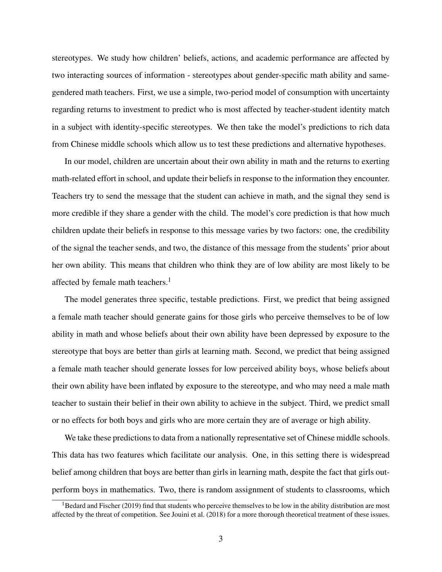stereotypes. We study how children' beliefs, actions, and academic performance are affected by two interacting sources of information - stereotypes about gender-specific math ability and samegendered math teachers. First, we use a simple, two-period model of consumption with uncertainty regarding returns to investment to predict who is most affected by teacher-student identity match in a subject with identity-specific stereotypes. We then take the model's predictions to rich data from Chinese middle schools which allow us to test these predictions and alternative hypotheses.

In our model, children are uncertain about their own ability in math and the returns to exerting math-related effort in school, and update their beliefs in response to the information they encounter. Teachers try to send the message that the student can achieve in math, and the signal they send is more credible if they share a gender with the child. The model's core prediction is that how much children update their beliefs in response to this message varies by two factors: one, the credibility of the signal the teacher sends, and two, the distance of this message from the students' prior about her own ability. This means that children who think they are of low ability are most likely to be affected by female math teachers.<sup>1</sup>

The model generates three specific, testable predictions. First, we predict that being assigned a female math teacher should generate gains for those girls who perceive themselves to be of low ability in math and whose beliefs about their own ability have been depressed by exposure to the stereotype that boys are better than girls at learning math. Second, we predict that being assigned a female math teacher should generate losses for low perceived ability boys, whose beliefs about their own ability have been inflated by exposure to the stereotype, and who may need a male math teacher to sustain their belief in their own ability to achieve in the subject. Third, we predict small or no effects for both boys and girls who are more certain they are of average or high ability.

We take these predictions to data from a nationally representative set of Chinese middle schools. This data has two features which facilitate our analysis. One, in this setting there is widespread belief among children that boys are better than girls in learning math, despite the fact that girls outperform boys in mathematics. Two, there is random assignment of students to classrooms, which

 $1B$  Bedard and Fischer (2019) find that students who perceive themselves to be low in the ability distribution are most affected by the threat of competition. See Jouini et al. (2018) for a more thorough theoretical treatment of these issues.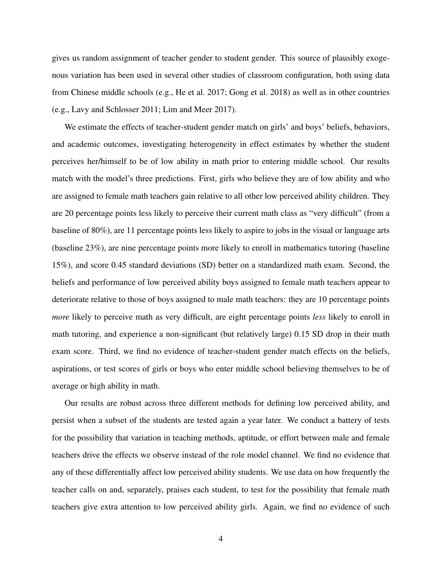gives us random assignment of teacher gender to student gender. This source of plausibly exogenous variation has been used in several other studies of classroom configuration, both using data from Chinese middle schools (e.g., He et al. 2017; Gong et al. 2018) as well as in other countries (e.g., Lavy and Schlosser 2011; Lim and Meer 2017).

We estimate the effects of teacher-student gender match on girls' and boys' beliefs, behaviors, and academic outcomes, investigating heterogeneity in effect estimates by whether the student perceives her/himself to be of low ability in math prior to entering middle school. Our results match with the model's three predictions. First, girls who believe they are of low ability and who are assigned to female math teachers gain relative to all other low perceived ability children. They are 20 percentage points less likely to perceive their current math class as "very difficult" (from a baseline of 80%), are 11 percentage points less likely to aspire to jobs in the visual or language arts (baseline 23%), are nine percentage points more likely to enroll in mathematics tutoring (baseline 15%), and score 0.45 standard deviations (SD) better on a standardized math exam. Second, the beliefs and performance of low perceived ability boys assigned to female math teachers appear to deteriorate relative to those of boys assigned to male math teachers: they are 10 percentage points *more* likely to perceive math as very difficult, are eight percentage points *less* likely to enroll in math tutoring, and experience a non-significant (but relatively large) 0.15 SD drop in their math exam score. Third, we find no evidence of teacher-student gender match effects on the beliefs, aspirations, or test scores of girls or boys who enter middle school believing themselves to be of average or high ability in math.

Our results are robust across three different methods for defining low perceived ability, and persist when a subset of the students are tested again a year later. We conduct a battery of tests for the possibility that variation in teaching methods, aptitude, or effort between male and female teachers drive the effects we observe instead of the role model channel. We find no evidence that any of these differentially affect low perceived ability students. We use data on how frequently the teacher calls on and, separately, praises each student, to test for the possibility that female math teachers give extra attention to low perceived ability girls. Again, we find no evidence of such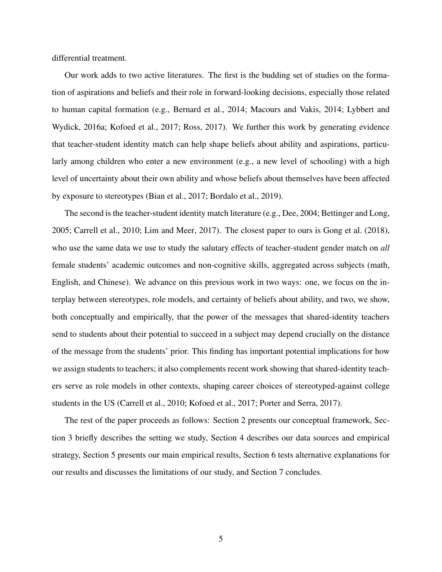differential treatment.

Our work adds to two active literatures. The first is the budding set of studies on the formation of aspirations and beliefs and their role in forward-looking decisions, especially those related to human capital formation (e.g., Bernard et al., 2014; Macours and Vakis, 2014; Lybbert and Wydick, 2016a; Kofoed et al., 2017; Ross, 2017). We further this work by generating evidence that teacher-student identity match can help shape beliefs about ability and aspirations, particularly among children who enter a new environment (e.g., a new level of schooling) with a high level of uncertainty about their own ability and whose beliefs about themselves have been affected by exposure to stereotypes (Bian et al., 2017; Bordalo et al., 2019).

The second is the teacher-student identity match literature (e.g., Dee, 2004; Bettinger and Long, 2005; Carrell et al., 2010; Lim and Meer, 2017). The closest paper to ours is Gong et al. (2018), who use the same data we use to study the salutary effects of teacher-student gender match on *all* female students' academic outcomes and non-cognitive skills, aggregated across subjects (math, English, and Chinese). We advance on this previous work in two ways: one, we focus on the interplay between stereotypes, role models, and certainty of beliefs about ability, and two, we show, both conceptually and empirically, that the power of the messages that shared-identity teachers send to students about their potential to succeed in a subject may depend crucially on the distance of the message from the students' prior. This finding has important potential implications for how we assign students to teachers; it also complements recent work showing that shared-identity teachers serve as role models in other contexts, shaping career choices of stereotyped-against college students in the US (Carrell et al., 2010; Kofoed et al., 2017; Porter and Serra, 2017).

The rest of the paper proceeds as follows: Section 2 presents our conceptual framework, Section 3 briefly describes the setting we study, Section 4 describes our data sources and empirical strategy, Section 5 presents our main empirical results, Section 6 tests alternative explanations for our results and discusses the limitations of our study, and Section 7 concludes.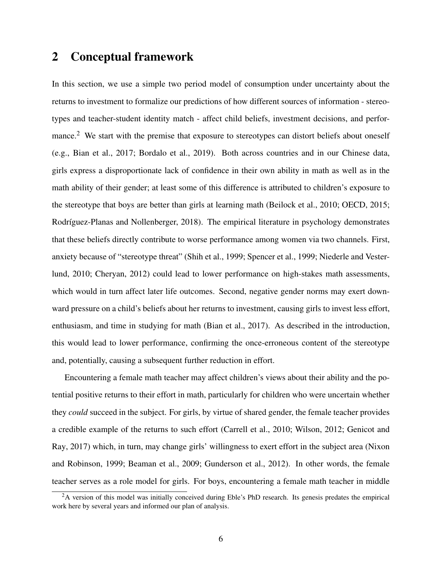## 2 Conceptual framework

In this section, we use a simple two period model of consumption under uncertainty about the returns to investment to formalize our predictions of how different sources of information - stereotypes and teacher-student identity match - affect child beliefs, investment decisions, and performance.<sup>2</sup> We start with the premise that exposure to stereotypes can distort beliefs about oneself (e.g., Bian et al., 2017; Bordalo et al., 2019). Both across countries and in our Chinese data, girls express a disproportionate lack of confidence in their own ability in math as well as in the math ability of their gender; at least some of this difference is attributed to children's exposure to the stereotype that boys are better than girls at learning math (Beilock et al., 2010; OECD, 2015; Rodríguez-Planas and Nollenberger, 2018). The empirical literature in psychology demonstrates that these beliefs directly contribute to worse performance among women via two channels. First, anxiety because of "stereotype threat" (Shih et al., 1999; Spencer et al., 1999; Niederle and Vesterlund, 2010; Cheryan, 2012) could lead to lower performance on high-stakes math assessments, which would in turn affect later life outcomes. Second, negative gender norms may exert downward pressure on a child's beliefs about her returns to investment, causing girls to invest less effort, enthusiasm, and time in studying for math (Bian et al., 2017). As described in the introduction, this would lead to lower performance, confirming the once-erroneous content of the stereotype and, potentially, causing a subsequent further reduction in effort.

Encountering a female math teacher may affect children's views about their ability and the potential positive returns to their effort in math, particularly for children who were uncertain whether they *could* succeed in the subject. For girls, by virtue of shared gender, the female teacher provides a credible example of the returns to such effort (Carrell et al., 2010; Wilson, 2012; Genicot and Ray, 2017) which, in turn, may change girls' willingness to exert effort in the subject area (Nixon and Robinson, 1999; Beaman et al., 2009; Gunderson et al., 2012). In other words, the female teacher serves as a role model for girls. For boys, encountering a female math teacher in middle

<sup>&</sup>lt;sup>2</sup>A version of this model was initially conceived during Eble's PhD research. Its genesis predates the empirical work here by several years and informed our plan of analysis.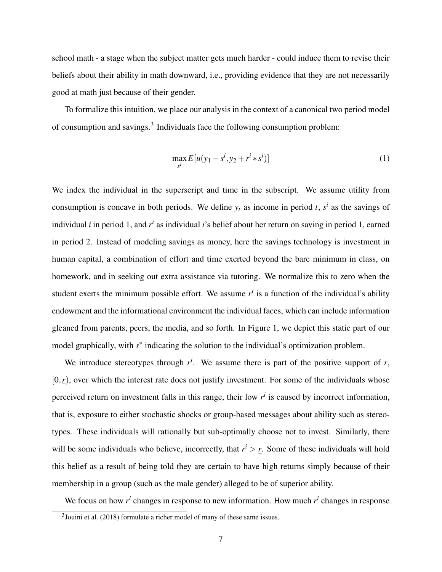school math - a stage when the subject matter gets much harder - could induce them to revise their beliefs about their ability in math downward, i.e., providing evidence that they are not necessarily good at math just because of their gender.

To formalize this intuition, we place our analysis in the context of a canonical two period model of consumption and savings.<sup>3</sup> Individuals face the following consumption problem:

$$
\max_{s^i} E[u(y_1 - s^i, y_2 + r^i * s^i)]
$$
\n(1)

We index the individual in the superscript and time in the subscript. We assume utility from consumption is concave in both periods. We define  $y_t$  as income in period *t*,  $s^i$  as the savings of individual *i* in period 1, and *r*<sup>*i*</sup> as individual *i*'s belief about her return on saving in period 1, earned in period 2. Instead of modeling savings as money, here the savings technology is investment in human capital, a combination of effort and time exerted beyond the bare minimum in class, on homework, and in seeking out extra assistance via tutoring. We normalize this to zero when the student exerts the minimum possible effort. We assume  $r<sup>i</sup>$  is a function of the individual's ability endowment and the informational environment the individual faces, which can include information gleaned from parents, peers, the media, and so forth. In Figure 1, we depict this static part of our model graphically, with  $s^*$  indicating the solution to the individual's optimization problem.

We introduce stereotypes through  $r^i$ . We assume there is part of the positive support of  $r$ ,  $[0,r)$ , over which the interest rate does not justify investment. For some of the individuals whose perceived return on investment falls in this range, their low  $r<sup>i</sup>$  is caused by incorrect information, that is, exposure to either stochastic shocks or group-based messages about ability such as stereotypes. These individuals will rationally but sub-optimally choose not to invest. Similarly, there will be some individuals who believe, incorrectly, that  $r^i > r$ . Some of these individuals will hold this belief as a result of being told they are certain to have high returns simply because of their membership in a group (such as the male gender) alleged to be of superior ability.

We focus on how  $r^i$  changes in response to new information. How much  $r^i$  changes in response

 $3$ Jouini et al. (2018) formulate a richer model of many of these same issues.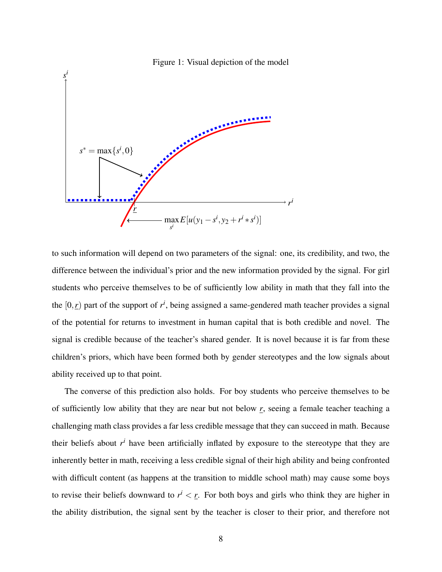

to such information will depend on two parameters of the signal: one, its credibility, and two, the difference between the individual's prior and the new information provided by the signal. For girl students who perceive themselves to be of sufficiently low ability in math that they fall into the the  $[0, r)$  part of the support of  $r^i$ , being assigned a same-gendered math teacher provides a signal of the potential for returns to investment in human capital that is both credible and novel. The signal is credible because of the teacher's shared gender. It is novel because it is far from these children's priors, which have been formed both by gender stereotypes and the low signals about ability received up to that point.

The converse of this prediction also holds. For boy students who perceive themselves to be of sufficiently low ability that they are near but not below *r*, seeing a female teacher teaching a challenging math class provides a far less credible message that they can succeed in math. Because their beliefs about *r <sup>i</sup>* have been artificially inflated by exposure to the stereotype that they are inherently better in math, receiving a less credible signal of their high ability and being confronted with difficult content (as happens at the transition to middle school math) may cause some boys to revise their beliefs downward to  $r^i < r$ . For both boys and girls who think they are higher in the ability distribution, the signal sent by the teacher is closer to their prior, and therefore not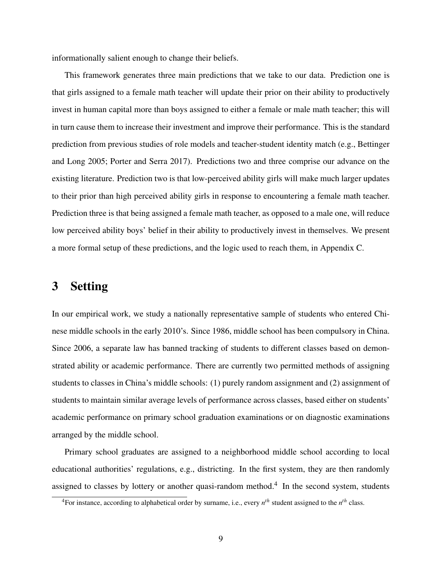informationally salient enough to change their beliefs.

This framework generates three main predictions that we take to our data. Prediction one is that girls assigned to a female math teacher will update their prior on their ability to productively invest in human capital more than boys assigned to either a female or male math teacher; this will in turn cause them to increase their investment and improve their performance. This is the standard prediction from previous studies of role models and teacher-student identity match (e.g., Bettinger and Long 2005; Porter and Serra 2017). Predictions two and three comprise our advance on the existing literature. Prediction two is that low-perceived ability girls will make much larger updates to their prior than high perceived ability girls in response to encountering a female math teacher. Prediction three is that being assigned a female math teacher, as opposed to a male one, will reduce low perceived ability boys' belief in their ability to productively invest in themselves. We present a more formal setup of these predictions, and the logic used to reach them, in Appendix C.

## 3 Setting

In our empirical work, we study a nationally representative sample of students who entered Chinese middle schools in the early 2010's. Since 1986, middle school has been compulsory in China. Since 2006, a separate law has banned tracking of students to different classes based on demonstrated ability or academic performance. There are currently two permitted methods of assigning students to classes in China's middle schools: (1) purely random assignment and (2) assignment of students to maintain similar average levels of performance across classes, based either on students' academic performance on primary school graduation examinations or on diagnostic examinations arranged by the middle school.

Primary school graduates are assigned to a neighborhood middle school according to local educational authorities' regulations, e.g., districting. In the first system, they are then randomly assigned to classes by lottery or another quasi-random method.<sup>4</sup> In the second system, students

<sup>4</sup>For instance, according to alphabetical order by surname, i.e., every *n th* student assigned to the *n th* class.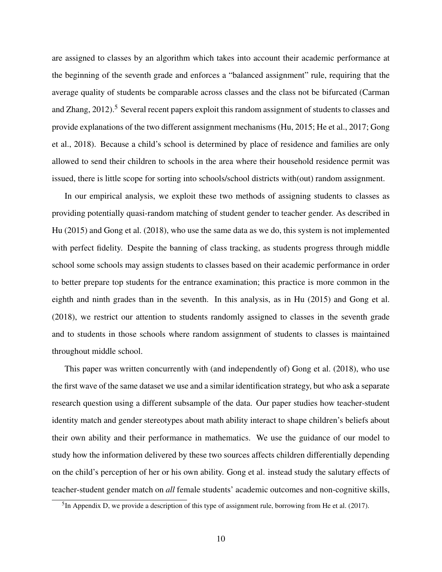are assigned to classes by an algorithm which takes into account their academic performance at the beginning of the seventh grade and enforces a "balanced assignment" rule, requiring that the average quality of students be comparable across classes and the class not be bifurcated (Carman and Zhang,  $2012$ ).<sup>5</sup> Several recent papers exploit this random assignment of students to classes and provide explanations of the two different assignment mechanisms (Hu, 2015; He et al., 2017; Gong et al., 2018). Because a child's school is determined by place of residence and families are only allowed to send their children to schools in the area where their household residence permit was issued, there is little scope for sorting into schools/school districts with(out) random assignment.

In our empirical analysis, we exploit these two methods of assigning students to classes as providing potentially quasi-random matching of student gender to teacher gender. As described in Hu (2015) and Gong et al. (2018), who use the same data as we do, this system is not implemented with perfect fidelity. Despite the banning of class tracking, as students progress through middle school some schools may assign students to classes based on their academic performance in order to better prepare top students for the entrance examination; this practice is more common in the eighth and ninth grades than in the seventh. In this analysis, as in Hu (2015) and Gong et al. (2018), we restrict our attention to students randomly assigned to classes in the seventh grade and to students in those schools where random assignment of students to classes is maintained throughout middle school.

This paper was written concurrently with (and independently of) Gong et al. (2018), who use the first wave of the same dataset we use and a similar identification strategy, but who ask a separate research question using a different subsample of the data. Our paper studies how teacher-student identity match and gender stereotypes about math ability interact to shape children's beliefs about their own ability and their performance in mathematics. We use the guidance of our model to study how the information delivered by these two sources affects children differentially depending on the child's perception of her or his own ability. Gong et al. instead study the salutary effects of teacher-student gender match on *all* female students' academic outcomes and non-cognitive skills,

 ${}^{5}$ In Appendix D, we provide a description of this type of assignment rule, borrowing from He et al. (2017).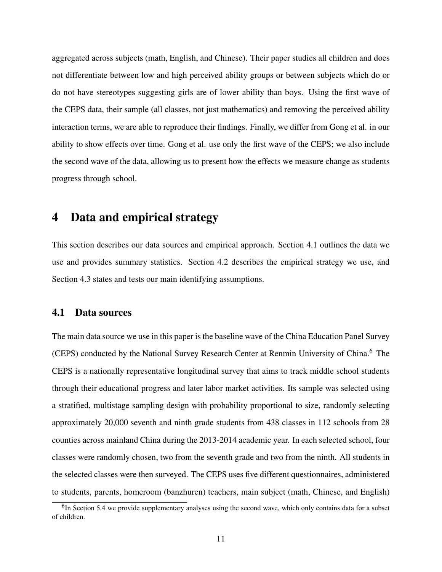aggregated across subjects (math, English, and Chinese). Their paper studies all children and does not differentiate between low and high perceived ability groups or between subjects which do or do not have stereotypes suggesting girls are of lower ability than boys. Using the first wave of the CEPS data, their sample (all classes, not just mathematics) and removing the perceived ability interaction terms, we are able to reproduce their findings. Finally, we differ from Gong et al. in our ability to show effects over time. Gong et al. use only the first wave of the CEPS; we also include the second wave of the data, allowing us to present how the effects we measure change as students progress through school.

## 4 Data and empirical strategy

This section describes our data sources and empirical approach. Section 4.1 outlines the data we use and provides summary statistics. Section 4.2 describes the empirical strategy we use, and Section 4.3 states and tests our main identifying assumptions.

#### 4.1 Data sources

The main data source we use in this paper is the baseline wave of the China Education Panel Survey (CEPS) conducted by the National Survey Research Center at Renmin University of China.<sup>6</sup> The CEPS is a nationally representative longitudinal survey that aims to track middle school students through their educational progress and later labor market activities. Its sample was selected using a stratified, multistage sampling design with probability proportional to size, randomly selecting approximately 20,000 seventh and ninth grade students from 438 classes in 112 schools from 28 counties across mainland China during the 2013-2014 academic year. In each selected school, four classes were randomly chosen, two from the seventh grade and two from the ninth. All students in the selected classes were then surveyed. The CEPS uses five different questionnaires, administered to students, parents, homeroom (banzhuren) teachers, main subject (math, Chinese, and English)

<sup>&</sup>lt;sup>6</sup>In Section 5.4 we provide supplementary analyses using the second wave, which only contains data for a subset of children.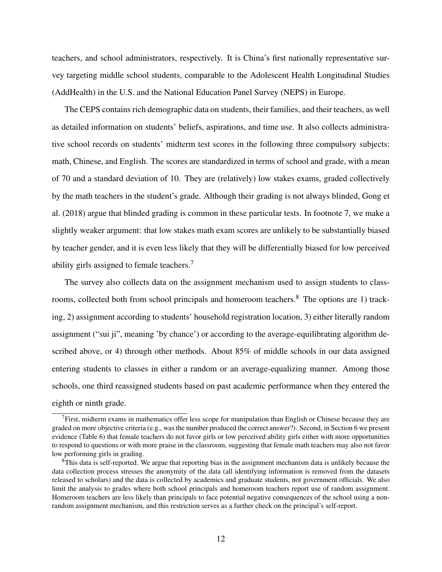teachers, and school administrators, respectively. It is China's first nationally representative survey targeting middle school students, comparable to the Adolescent Health Longitudinal Studies (AddHealth) in the U.S. and the National Education Panel Survey (NEPS) in Europe.

The CEPS contains rich demographic data on students, their families, and their teachers, as well as detailed information on students' beliefs, aspirations, and time use. It also collects administrative school records on students' midterm test scores in the following three compulsory subjects: math, Chinese, and English. The scores are standardized in terms of school and grade, with a mean of 70 and a standard deviation of 10. They are (relatively) low stakes exams, graded collectively by the math teachers in the student's grade. Although their grading is not always blinded, Gong et al. (2018) argue that blinded grading is common in these particular tests. In footnote 7, we make a slightly weaker argument: that low stakes math exam scores are unlikely to be substantially biased by teacher gender, and it is even less likely that they will be differentially biased for low perceived ability girls assigned to female teachers.<sup>7</sup>

The survey also collects data on the assignment mechanism used to assign students to classrooms, collected both from school principals and homeroom teachers.<sup>8</sup> The options are 1) tracking, 2) assignment according to students' household registration location, 3) either literally random assignment ("sui ji", meaning 'by chance') or according to the average-equilibrating algorithm described above, or 4) through other methods. About 85% of middle schools in our data assigned entering students to classes in either a random or an average-equalizing manner. Among those schools, one third reassigned students based on past academic performance when they entered the eighth or ninth grade.

 $<sup>7</sup>$ First, midterm exams in mathematics offer less scope for manipulation than English or Chinese because they are</sup> graded on more objective criteria (e.g., was the number produced the correct answer?). Second, in Section 6 we present evidence (Table 6) that female teachers do not favor girls or low perceived ability girls either with more opportunities to respond to questions or with more praise in the classroom, suggesting that female math teachers may also not favor low performing girls in grading.

<sup>&</sup>lt;sup>8</sup>This data is self-reported. We argue that reporting bias in the assignment mechanism data is unlikely because the data collection process stresses the anonymity of the data (all identifying information is removed from the datasets released to scholars) and the data is collected by academics and graduate students, not government officials. We also limit the analysis to grades where both school principals and homeroom teachers report use of random assignment. Homeroom teachers are less likely than principals to face potential negative consequences of the school using a nonrandom assignment mechanism, and this restriction serves as a further check on the principal's self-report.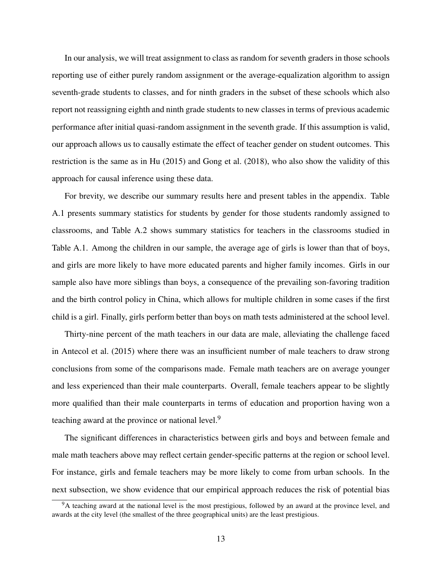In our analysis, we will treat assignment to class as random for seventh graders in those schools reporting use of either purely random assignment or the average-equalization algorithm to assign seventh-grade students to classes, and for ninth graders in the subset of these schools which also report not reassigning eighth and ninth grade students to new classes in terms of previous academic performance after initial quasi-random assignment in the seventh grade. If this assumption is valid, our approach allows us to causally estimate the effect of teacher gender on student outcomes. This restriction is the same as in Hu (2015) and Gong et al. (2018), who also show the validity of this approach for causal inference using these data.

For brevity, we describe our summary results here and present tables in the appendix. Table A.1 presents summary statistics for students by gender for those students randomly assigned to classrooms, and Table A.2 shows summary statistics for teachers in the classrooms studied in Table A.1. Among the children in our sample, the average age of girls is lower than that of boys, and girls are more likely to have more educated parents and higher family incomes. Girls in our sample also have more siblings than boys, a consequence of the prevailing son-favoring tradition and the birth control policy in China, which allows for multiple children in some cases if the first child is a girl. Finally, girls perform better than boys on math tests administered at the school level.

Thirty-nine percent of the math teachers in our data are male, alleviating the challenge faced in Antecol et al. (2015) where there was an insufficient number of male teachers to draw strong conclusions from some of the comparisons made. Female math teachers are on average younger and less experienced than their male counterparts. Overall, female teachers appear to be slightly more qualified than their male counterparts in terms of education and proportion having won a teaching award at the province or national level.<sup>9</sup>

The significant differences in characteristics between girls and boys and between female and male math teachers above may reflect certain gender-specific patterns at the region or school level. For instance, girls and female teachers may be more likely to come from urban schools. In the next subsection, we show evidence that our empirical approach reduces the risk of potential bias

<sup>&</sup>lt;sup>9</sup>A teaching award at the national level is the most prestigious, followed by an award at the province level, and awards at the city level (the smallest of the three geographical units) are the least prestigious.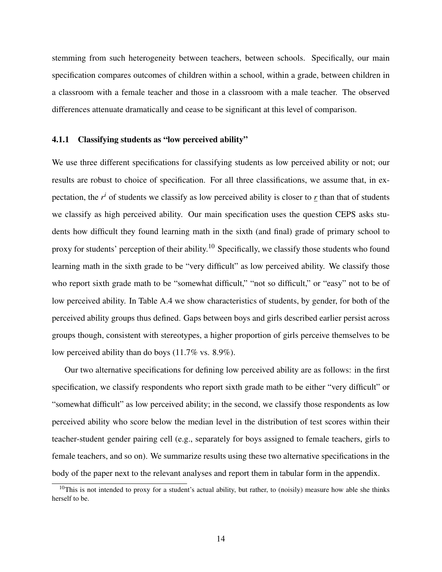stemming from such heterogeneity between teachers, between schools. Specifically, our main specification compares outcomes of children within a school, within a grade, between children in a classroom with a female teacher and those in a classroom with a male teacher. The observed differences attenuate dramatically and cease to be significant at this level of comparison.

#### 4.1.1 Classifying students as "low perceived ability"

We use three different specifications for classifying students as low perceived ability or not; our results are robust to choice of specification. For all three classifications, we assume that, in expectation, the  $r^i$  of students we classify as low perceived ability is closer to  $r$  than that of students we classify as high perceived ability. Our main specification uses the question CEPS asks students how difficult they found learning math in the sixth (and final) grade of primary school to proxy for students' perception of their ability.<sup>10</sup> Specifically, we classify those students who found learning math in the sixth grade to be "very difficult" as low perceived ability. We classify those who report sixth grade math to be "somewhat difficult," "not so difficult," or "easy" not to be of low perceived ability. In Table A.4 we show characteristics of students, by gender, for both of the perceived ability groups thus defined. Gaps between boys and girls described earlier persist across groups though, consistent with stereotypes, a higher proportion of girls perceive themselves to be low perceived ability than do boys (11.7% vs. 8.9%).

Our two alternative specifications for defining low perceived ability are as follows: in the first specification, we classify respondents who report sixth grade math to be either "very difficult" or "somewhat difficult" as low perceived ability; in the second, we classify those respondents as low perceived ability who score below the median level in the distribution of test scores within their teacher-student gender pairing cell (e.g., separately for boys assigned to female teachers, girls to female teachers, and so on). We summarize results using these two alternative specifications in the body of the paper next to the relevant analyses and report them in tabular form in the appendix.

 $10$ This is not intended to proxy for a student's actual ability, but rather, to (noisily) measure how able she thinks herself to be.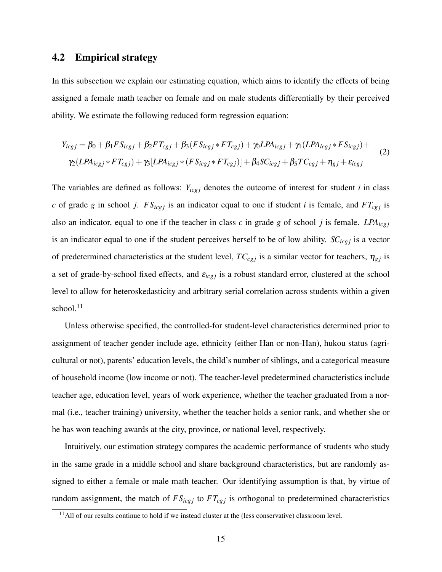#### 4.2 Empirical strategy

In this subsection we explain our estimating equation, which aims to identify the effects of being assigned a female math teacher on female and on male students differentially by their perceived ability. We estimate the following reduced form regression equation:

$$
Y_{icgj} = \beta_0 + \beta_1 FS_{icgj} + \beta_2 FT_{cgj} + \beta_3 (FS_{icgj} * FT_{cgj}) + \gamma_0 LPA_{icgj} + \gamma_1 (LPA_{icgj} * FS_{icgj}) +
$$
  

$$
\gamma_2 (LPA_{icgj} * FT_{cgj}) + \gamma_3 [LPA_{icgj} * (FS_{icgj} * FT_{cgj})] + \beta_4 SC_{icgj} + \beta_5 TC_{cgj} + \eta_{gj} + \varepsilon_{icgj}
$$
 (2)

The variables are defined as follows:  $Y_{icgj}$  denotes the outcome of interest for student *i* in class *c* of grade *g* in school *j*.  $FS_{icgj}$  is an indicator equal to one if student *i* is female, and  $FT_{cgj}$  is also an indicator, equal to one if the teacher in class  $c$  in grade  $g$  of school  $j$  is female. *LPA*<sub>icgj</sub> is an indicator equal to one if the student perceives herself to be of low ability.  $SC_{icgj}$  is a vector of predetermined characteristics at the student level,  $TC_{cgj}$  is a similar vector for teachers,  $\eta_{gj}$  is a set of grade-by-school fixed effects, and  $\varepsilon_{icgj}$  is a robust standard error, clustered at the school level to allow for heteroskedasticity and arbitrary serial correlation across students within a given school. $11$ 

Unless otherwise specified, the controlled-for student-level characteristics determined prior to assignment of teacher gender include age, ethnicity (either Han or non-Han), hukou status (agricultural or not), parents' education levels, the child's number of siblings, and a categorical measure of household income (low income or not). The teacher-level predetermined characteristics include teacher age, education level, years of work experience, whether the teacher graduated from a normal (i.e., teacher training) university, whether the teacher holds a senior rank, and whether she or he has won teaching awards at the city, province, or national level, respectively.

Intuitively, our estimation strategy compares the academic performance of students who study in the same grade in a middle school and share background characteristics, but are randomly assigned to either a female or male math teacher. Our identifying assumption is that, by virtue of random assignment, the match of  $FS_{icgj}$  to  $FT_{cgj}$  is orthogonal to predetermined characteristics

 $11$ All of our results continue to hold if we instead cluster at the (less conservative) classroom level.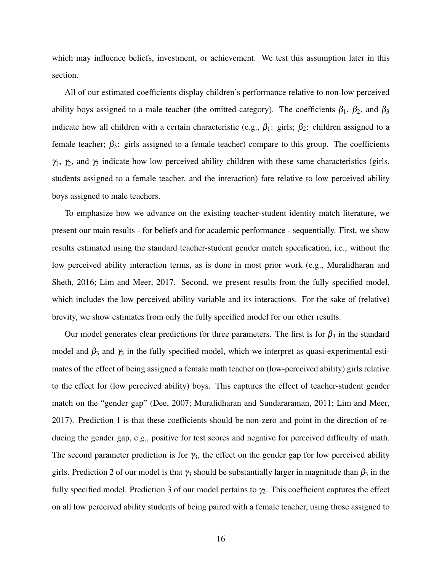which may influence beliefs, investment, or achievement. We test this assumption later in this section.

All of our estimated coefficients display children's performance relative to non-low perceived ability boys assigned to a male teacher (the omitted category). The coefficients  $\beta_1$ ,  $\beta_2$ , and  $\beta_3$ indicate how all children with a certain characteristic (e.g.,  $\beta_1$ : girls;  $\beta_2$ : children assigned to a female teacher;  $\beta_3$ : girls assigned to a female teacher) compare to this group. The coefficients  $\gamma_1$ ,  $\gamma_2$ , and  $\gamma_3$  indicate how low perceived ability children with these same characteristics (girls, students assigned to a female teacher, and the interaction) fare relative to low perceived ability boys assigned to male teachers.

To emphasize how we advance on the existing teacher-student identity match literature, we present our main results - for beliefs and for academic performance - sequentially. First, we show results estimated using the standard teacher-student gender match specification, i.e., without the low perceived ability interaction terms, as is done in most prior work (e.g., Muralidharan and Sheth, 2016; Lim and Meer, 2017. Second, we present results from the fully specified model, which includes the low perceived ability variable and its interactions. For the sake of (relative) brevity, we show estimates from only the fully specified model for our other results.

Our model generates clear predictions for three parameters. The first is for  $\beta_3$  in the standard model and  $\beta_3$  and  $\gamma_3$  in the fully specified model, which we interpret as quasi-experimental estimates of the effect of being assigned a female math teacher on (low-perceived ability) girls relative to the effect for (low perceived ability) boys. This captures the effect of teacher-student gender match on the "gender gap" (Dee, 2007; Muralidharan and Sundararaman, 2011; Lim and Meer, 2017). Prediction 1 is that these coefficients should be non-zero and point in the direction of reducing the gender gap, e.g., positive for test scores and negative for perceived difficulty of math. The second parameter prediction is for  $\gamma_3$ , the effect on the gender gap for low perceived ability girls. Prediction 2 of our model is that  $\gamma_3$  should be substantially larger in magnitude than  $\beta_3$  in the fully specified model. Prediction 3 of our model pertains to  $\gamma$ . This coefficient captures the effect on all low perceived ability students of being paired with a female teacher, using those assigned to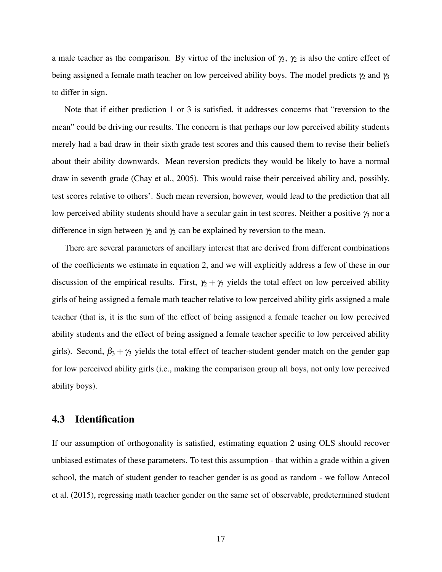a male teacher as the comparison. By virtue of the inclusion of  $\gamma_3$ ,  $\gamma_2$  is also the entire effect of being assigned a female math teacher on low perceived ability boys. The model predicts  $\gamma_2$  and  $\gamma_3$ to differ in sign.

Note that if either prediction 1 or 3 is satisfied, it addresses concerns that "reversion to the mean" could be driving our results. The concern is that perhaps our low perceived ability students merely had a bad draw in their sixth grade test scores and this caused them to revise their beliefs about their ability downwards. Mean reversion predicts they would be likely to have a normal draw in seventh grade (Chay et al., 2005). This would raise their perceived ability and, possibly, test scores relative to others'. Such mean reversion, however, would lead to the prediction that all low perceived ability students should have a secular gain in test scores. Neither a positive  $\gamma_3$  nor a difference in sign between  $\gamma_2$  and  $\gamma_3$  can be explained by reversion to the mean.

There are several parameters of ancillary interest that are derived from different combinations of the coefficients we estimate in equation 2, and we will explicitly address a few of these in our discussion of the empirical results. First,  $\gamma_2 + \gamma_3$  yields the total effect on low perceived ability girls of being assigned a female math teacher relative to low perceived ability girls assigned a male teacher (that is, it is the sum of the effect of being assigned a female teacher on low perceived ability students and the effect of being assigned a female teacher specific to low perceived ability girls). Second,  $\beta_3 + \gamma_3$  yields the total effect of teacher-student gender match on the gender gap for low perceived ability girls (i.e., making the comparison group all boys, not only low perceived ability boys).

#### 4.3 Identification

If our assumption of orthogonality is satisfied, estimating equation 2 using OLS should recover unbiased estimates of these parameters. To test this assumption - that within a grade within a given school, the match of student gender to teacher gender is as good as random - we follow Antecol et al. (2015), regressing math teacher gender on the same set of observable, predetermined student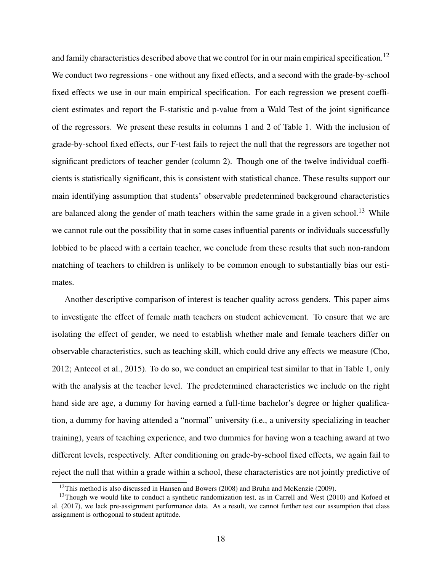and family characteristics described above that we control for in our main empirical specification.<sup>12</sup> We conduct two regressions - one without any fixed effects, and a second with the grade-by-school fixed effects we use in our main empirical specification. For each regression we present coefficient estimates and report the F-statistic and p-value from a Wald Test of the joint significance of the regressors. We present these results in columns 1 and 2 of Table 1. With the inclusion of grade-by-school fixed effects, our F-test fails to reject the null that the regressors are together not significant predictors of teacher gender (column 2). Though one of the twelve individual coefficients is statistically significant, this is consistent with statistical chance. These results support our main identifying assumption that students' observable predetermined background characteristics are balanced along the gender of math teachers within the same grade in a given school.<sup>13</sup> While we cannot rule out the possibility that in some cases influential parents or individuals successfully lobbied to be placed with a certain teacher, we conclude from these results that such non-random matching of teachers to children is unlikely to be common enough to substantially bias our estimates.

Another descriptive comparison of interest is teacher quality across genders. This paper aims to investigate the effect of female math teachers on student achievement. To ensure that we are isolating the effect of gender, we need to establish whether male and female teachers differ on observable characteristics, such as teaching skill, which could drive any effects we measure (Cho, 2012; Antecol et al., 2015). To do so, we conduct an empirical test similar to that in Table 1, only with the analysis at the teacher level. The predetermined characteristics we include on the right hand side are age, a dummy for having earned a full-time bachelor's degree or higher qualification, a dummy for having attended a "normal" university (i.e., a university specializing in teacher training), years of teaching experience, and two dummies for having won a teaching award at two different levels, respectively. After conditioning on grade-by-school fixed effects, we again fail to reject the null that within a grade within a school, these characteristics are not jointly predictive of

<sup>&</sup>lt;sup>12</sup>This method is also discussed in Hansen and Bowers (2008) and Bruhn and McKenzie (2009).

 $13$ Though we would like to conduct a synthetic randomization test, as in Carrell and West (2010) and Kofoed et al. (2017), we lack pre-assignment performance data. As a result, we cannot further test our assumption that class assignment is orthogonal to student aptitude.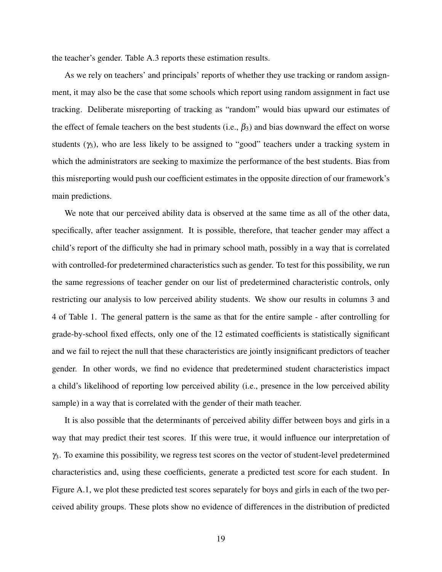the teacher's gender. Table A.3 reports these estimation results.

As we rely on teachers' and principals' reports of whether they use tracking or random assignment, it may also be the case that some schools which report using random assignment in fact use tracking. Deliberate misreporting of tracking as "random" would bias upward our estimates of the effect of female teachers on the best students (i.e.,  $\beta_3$ ) and bias downward the effect on worse students  $(\gamma_3)$ , who are less likely to be assigned to "good" teachers under a tracking system in which the administrators are seeking to maximize the performance of the best students. Bias from this misreporting would push our coefficient estimates in the opposite direction of our framework's main predictions.

We note that our perceived ability data is observed at the same time as all of the other data, specifically, after teacher assignment. It is possible, therefore, that teacher gender may affect a child's report of the difficulty she had in primary school math, possibly in a way that is correlated with controlled-for predetermined characteristics such as gender. To test for this possibility, we run the same regressions of teacher gender on our list of predetermined characteristic controls, only restricting our analysis to low perceived ability students. We show our results in columns 3 and 4 of Table 1. The general pattern is the same as that for the entire sample - after controlling for grade-by-school fixed effects, only one of the 12 estimated coefficients is statistically significant and we fail to reject the null that these characteristics are jointly insignificant predictors of teacher gender. In other words, we find no evidence that predetermined student characteristics impact a child's likelihood of reporting low perceived ability (i.e., presence in the low perceived ability sample) in a way that is correlated with the gender of their math teacher.

It is also possible that the determinants of perceived ability differ between boys and girls in a way that may predict their test scores. If this were true, it would influence our interpretation of γ3. To examine this possibility, we regress test scores on the vector of student-level predetermined characteristics and, using these coefficients, generate a predicted test score for each student. In Figure A.1, we plot these predicted test scores separately for boys and girls in each of the two perceived ability groups. These plots show no evidence of differences in the distribution of predicted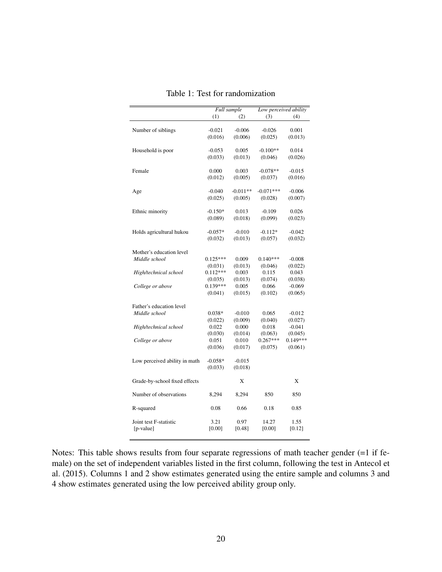|                               |            | Full sample | Low perceived ability |            |  |
|-------------------------------|------------|-------------|-----------------------|------------|--|
|                               | (1)        | (2)         | (3)                   | (4)        |  |
|                               |            |             |                       |            |  |
| Number of siblings            | $-0.021$   | $-0.006$    | $-0.026$              | 0.001      |  |
|                               | (0.016)    | (0.006)     | (0.025)               | (0.013)    |  |
|                               |            |             |                       |            |  |
| Household is poor             | $-0.053$   | 0.005       | $-0.100**$            | 0.014      |  |
|                               | (0.033)    | (0.013)     | (0.046)               | (0.026)    |  |
|                               |            |             |                       |            |  |
| Female                        | 0.000      | 0.003       | $-0.078**$            | $-0.015$   |  |
|                               | (0.012)    | (0.005)     | (0.037)               | (0.016)    |  |
|                               |            |             |                       |            |  |
| Age                           | $-0.040$   | $-0.011**$  | $-0.071***$           | $-0.006$   |  |
|                               | (0.025)    | (0.005)     | (0.028)               | (0.007)    |  |
|                               |            |             |                       |            |  |
| Ethnic minority               | $-0.150*$  | 0.013       | $-0.109$              | 0.026      |  |
|                               | (0.089)    | (0.018)     | (0.099)               | (0.023)    |  |
|                               |            |             |                       |            |  |
| Holds agricultural hukou      | $-0.057*$  | $-0.010$    | $-0.112*$             | $-0.042$   |  |
|                               | (0.032)    | (0.013)     | (0.057)               | (0.032)    |  |
|                               |            |             |                       |            |  |
| Mother's education level      |            |             |                       |            |  |
| Middle school                 | $0.125***$ | 0.009       | $0.140***$            | $-0.008$   |  |
|                               | (0.031)    | (0.013)     | (0.046)               | (0.022)    |  |
| High/technical school         | $0.112***$ | 0.003       | 0.115                 | 0.043      |  |
|                               | (0.035)    | (0.013)     | (0.074)               | (0.038)    |  |
| College or above              | $0.139***$ | 0.005       | 0.066                 | $-0.069$   |  |
|                               | (0.041)    | (0.015)     | (0.102)               | (0.065)    |  |
|                               |            |             |                       |            |  |
| Father's education level      |            |             |                       |            |  |
| Middle school                 | $0.038*$   | $-0.010$    | 0.065                 | $-0.012$   |  |
|                               | (0.022)    | (0.009)     | (0.040)               | (0.027)    |  |
| High/technical school         | 0.022      | 0.000       | 0.018                 | $-0.041$   |  |
|                               | (0.030)    | (0.014)     | (0.063)               | (0.045)    |  |
| College or above              | 0.051      | 0.010       | $0.267***$            | $0.149***$ |  |
|                               | (0.036)    | (0.017)     | (0.075)               | (0.061)    |  |
|                               |            |             |                       |            |  |
| Low perceived ability in math | $-0.058*$  | $-0.015$    |                       |            |  |
|                               | (0.033)    | (0.018)     |                       |            |  |
|                               |            |             |                       |            |  |
| Grade-by-school fixed effects |            | X           |                       | X          |  |
|                               |            |             |                       |            |  |
| Number of observations        | 8,294      | 8,294       | 850                   | 850        |  |
|                               |            |             |                       |            |  |
| R-squared                     | 0.08       | 0.66        | 0.18                  | 0.85       |  |
|                               |            |             |                       |            |  |
| Joint test F-statistic        | 3.21       | 0.97        | 14.27                 | 1.55       |  |
| [p-value]                     | [0.00]     | [0.48]      | [0.00]                | [0.12]     |  |
|                               |            |             |                       |            |  |

Table 1: Test for randomization

Notes: This table shows results from four separate regressions of math teacher gender (=1 if female) on the set of independent variables listed in the first column, following the test in Antecol et al. (2015). Columns 1 and 2 show estimates generated using the entire sample and columns 3 and 4 show estimates generated using the low perceived ability group only.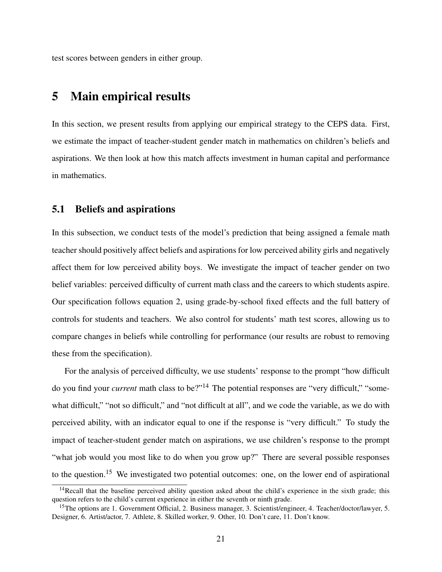test scores between genders in either group.

## 5 Main empirical results

In this section, we present results from applying our empirical strategy to the CEPS data. First, we estimate the impact of teacher-student gender match in mathematics on children's beliefs and aspirations. We then look at how this match affects investment in human capital and performance in mathematics.

#### 5.1 Beliefs and aspirations

In this subsection, we conduct tests of the model's prediction that being assigned a female math teacher should positively affect beliefs and aspirations for low perceived ability girls and negatively affect them for low perceived ability boys. We investigate the impact of teacher gender on two belief variables: perceived difficulty of current math class and the careers to which students aspire. Our specification follows equation 2, using grade-by-school fixed effects and the full battery of controls for students and teachers. We also control for students' math test scores, allowing us to compare changes in beliefs while controlling for performance (our results are robust to removing these from the specification).

For the analysis of perceived difficulty, we use students' response to the prompt "how difficult do you find your *current* math class to be?"<sup>14</sup> The potential responses are "very difficult," "somewhat difficult," "not so difficult," and "not difficult at all", and we code the variable, as we do with perceived ability, with an indicator equal to one if the response is "very difficult." To study the impact of teacher-student gender match on aspirations, we use children's response to the prompt "what job would you most like to do when you grow up?" There are several possible responses to the question.<sup>15</sup> We investigated two potential outcomes: one, on the lower end of aspirational

<sup>&</sup>lt;sup>14</sup>Recall that the baseline perceived ability question asked about the child's experience in the sixth grade; this question refers to the child's current experience in either the seventh or ninth grade.

<sup>&</sup>lt;sup>15</sup>The options are 1. Government Official, 2. Business manager, 3. Scientist/engineer, 4. Teacher/doctor/lawyer, 5. Designer, 6. Artist/actor, 7. Athlete, 8. Skilled worker, 9. Other, 10. Don't care, 11. Don't know.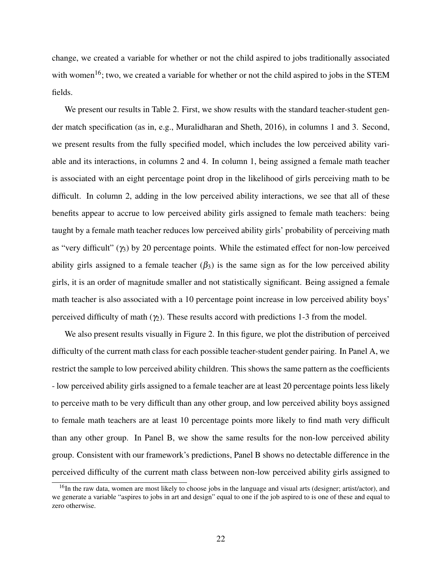change, we created a variable for whether or not the child aspired to jobs traditionally associated with women<sup>16</sup>; two, we created a variable for whether or not the child aspired to jobs in the STEM fields.

We present our results in Table 2. First, we show results with the standard teacher-student gender match specification (as in, e.g., Muralidharan and Sheth, 2016), in columns 1 and 3. Second, we present results from the fully specified model, which includes the low perceived ability variable and its interactions, in columns 2 and 4. In column 1, being assigned a female math teacher is associated with an eight percentage point drop in the likelihood of girls perceiving math to be difficult. In column 2, adding in the low perceived ability interactions, we see that all of these benefits appear to accrue to low perceived ability girls assigned to female math teachers: being taught by a female math teacher reduces low perceived ability girls' probability of perceiving math as "very difficult"  $(\gamma_3)$  by 20 percentage points. While the estimated effect for non-low perceived ability girls assigned to a female teacher  $(\beta_3)$  is the same sign as for the low perceived ability girls, it is an order of magnitude smaller and not statistically significant. Being assigned a female math teacher is also associated with a 10 percentage point increase in low perceived ability boys' perceived difficulty of math ( $\gamma$ ). These results accord with predictions 1-3 from the model.

We also present results visually in Figure 2. In this figure, we plot the distribution of perceived difficulty of the current math class for each possible teacher-student gender pairing. In Panel A, we restrict the sample to low perceived ability children. This shows the same pattern as the coefficients - low perceived ability girls assigned to a female teacher are at least 20 percentage points less likely to perceive math to be very difficult than any other group, and low perceived ability boys assigned to female math teachers are at least 10 percentage points more likely to find math very difficult than any other group. In Panel B, we show the same results for the non-low perceived ability group. Consistent with our framework's predictions, Panel B shows no detectable difference in the perceived difficulty of the current math class between non-low perceived ability girls assigned to

 $16$ In the raw data, women are most likely to choose jobs in the language and visual arts (designer; artist/actor), and we generate a variable "aspires to jobs in art and design" equal to one if the job aspired to is one of these and equal to zero otherwise.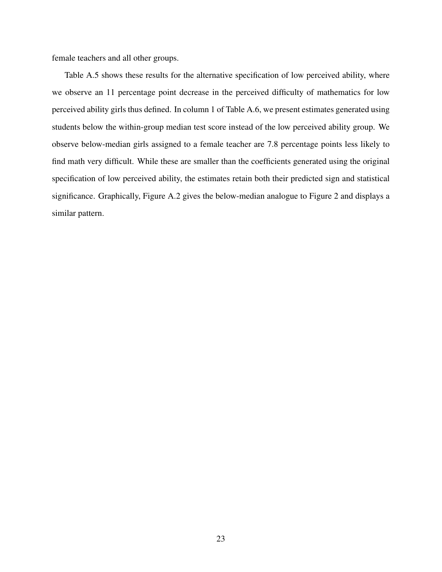female teachers and all other groups.

Table A.5 shows these results for the alternative specification of low perceived ability, where we observe an 11 percentage point decrease in the perceived difficulty of mathematics for low perceived ability girls thus defined. In column 1 of Table A.6, we present estimates generated using students below the within-group median test score instead of the low perceived ability group. We observe below-median girls assigned to a female teacher are 7.8 percentage points less likely to find math very difficult. While these are smaller than the coefficients generated using the original specification of low perceived ability, the estimates retain both their predicted sign and statistical significance. Graphically, Figure A.2 gives the below-median analogue to Figure 2 and displays a similar pattern.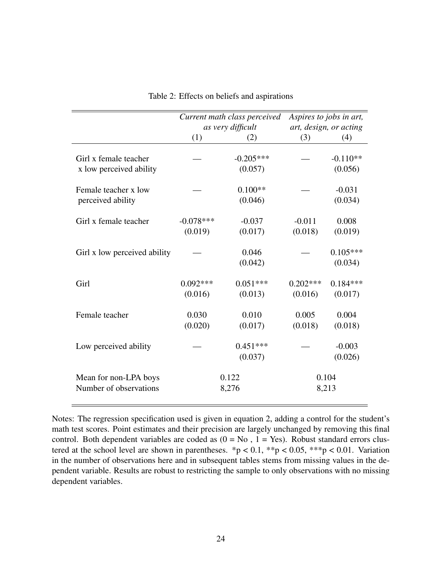|                                                  | Current math class perceived |                        | Aspires to jobs in art, |                        |
|--------------------------------------------------|------------------------------|------------------------|-------------------------|------------------------|
|                                                  | as very difficult            |                        |                         | art, design, or acting |
|                                                  | (1)                          | (2)                    | (3)                     | (4)                    |
| Girl x female teacher<br>x low perceived ability |                              | $-0.205***$<br>(0.057) |                         | $-0.110**$<br>(0.056)  |
| Female teacher x low<br>perceived ability        |                              | $0.100**$<br>(0.046)   |                         | $-0.031$<br>(0.034)    |
| Girl x female teacher                            | $-0.078***$<br>(0.019)       | $-0.037$<br>(0.017)    | $-0.011$<br>(0.018)     | 0.008<br>(0.019)       |
| Girl x low perceived ability                     |                              | 0.046<br>(0.042)       |                         | $0.105***$<br>(0.034)  |
| Girl                                             | $0.092***$<br>(0.016)        | $0.051***$<br>(0.013)  | $0.202***$<br>(0.016)   | $0.184***$<br>(0.017)  |
| Female teacher                                   | 0.030<br>(0.020)             | 0.010<br>(0.017)       | 0.005<br>(0.018)        | 0.004<br>(0.018)       |
| Low perceived ability                            |                              | $0.451***$<br>(0.037)  |                         | $-0.003$<br>(0.026)    |
| Mean for non-LPA boys<br>Number of observations  |                              | 0.122<br>8,276         |                         | 0.104<br>8,213         |

Table 2: Effects on beliefs and aspirations

Notes: The regression specification used is given in equation 2, adding a control for the student's math test scores. Point estimates and their precision are largely unchanged by removing this final control. Both dependent variables are coded as  $(0 = No, 1 = Yes)$ . Robust standard errors clustered at the school level are shown in parentheses. \*p < 0.1, \*\*p < 0.05, \*\*\*p < 0.01. Variation in the number of observations here and in subsequent tables stems from missing values in the dependent variable. Results are robust to restricting the sample to only observations with no missing dependent variables.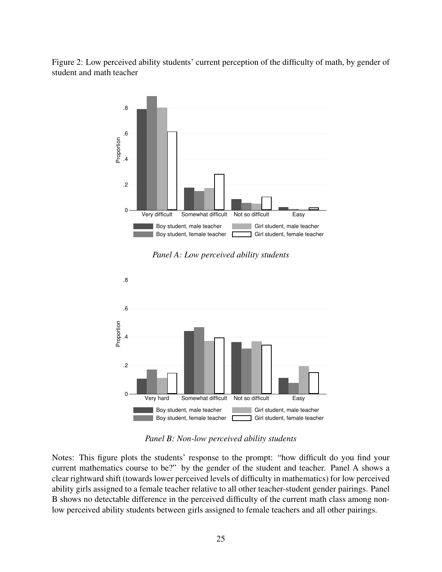Figure 2: Low perceived ability students' current perception of the difficulty of math, by gender of student and math teacher



*Panel A: Low perceived ability students*



*Panel B: Non-low perceived ability students*

Notes: This figure plots the students' response to the prompt: "how difficult do you find your current mathematics course to be?" by the gender of the student and teacher. Panel A shows a clear rightward shift (towards lower perceived levels of difficulty in mathematics) for low perceived ability girls assigned to a female teacher relative to all other teacher-student gender pairings. Panel B shows no detectable difference in the perceived difficulty of the current math class among nonlow perceived ability students between girls assigned to female teachers and all other pairings.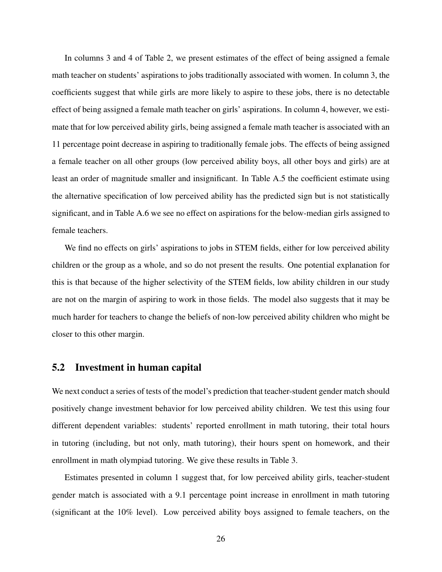In columns 3 and 4 of Table 2, we present estimates of the effect of being assigned a female math teacher on students' aspirations to jobs traditionally associated with women. In column 3, the coefficients suggest that while girls are more likely to aspire to these jobs, there is no detectable effect of being assigned a female math teacher on girls' aspirations. In column 4, however, we estimate that for low perceived ability girls, being assigned a female math teacher is associated with an 11 percentage point decrease in aspiring to traditionally female jobs. The effects of being assigned a female teacher on all other groups (low perceived ability boys, all other boys and girls) are at least an order of magnitude smaller and insignificant. In Table A.5 the coefficient estimate using the alternative specification of low perceived ability has the predicted sign but is not statistically significant, and in Table A.6 we see no effect on aspirations for the below-median girls assigned to female teachers.

We find no effects on girls' aspirations to jobs in STEM fields, either for low perceived ability children or the group as a whole, and so do not present the results. One potential explanation for this is that because of the higher selectivity of the STEM fields, low ability children in our study are not on the margin of aspiring to work in those fields. The model also suggests that it may be much harder for teachers to change the beliefs of non-low perceived ability children who might be closer to this other margin.

### 5.2 Investment in human capital

We next conduct a series of tests of the model's prediction that teacher-student gender match should positively change investment behavior for low perceived ability children. We test this using four different dependent variables: students' reported enrollment in math tutoring, their total hours in tutoring (including, but not only, math tutoring), their hours spent on homework, and their enrollment in math olympiad tutoring. We give these results in Table 3.

Estimates presented in column 1 suggest that, for low perceived ability girls, teacher-student gender match is associated with a 9.1 percentage point increase in enrollment in math tutoring (significant at the 10% level). Low perceived ability boys assigned to female teachers, on the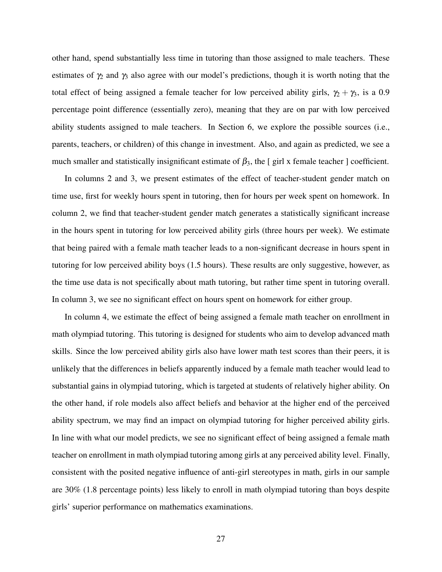other hand, spend substantially less time in tutoring than those assigned to male teachers. These estimates of  $\gamma_2$  and  $\gamma_3$  also agree with our model's predictions, though it is worth noting that the total effect of being assigned a female teacher for low perceived ability girls,  $\gamma_2 + \gamma_3$ , is a 0.9 percentage point difference (essentially zero), meaning that they are on par with low perceived ability students assigned to male teachers. In Section 6, we explore the possible sources (i.e., parents, teachers, or children) of this change in investment. Also, and again as predicted, we see a much smaller and statistically insignificant estimate of  $\beta_3$ , the [girl x female teacher ] coefficient.

In columns 2 and 3, we present estimates of the effect of teacher-student gender match on time use, first for weekly hours spent in tutoring, then for hours per week spent on homework. In column 2, we find that teacher-student gender match generates a statistically significant increase in the hours spent in tutoring for low perceived ability girls (three hours per week). We estimate that being paired with a female math teacher leads to a non-significant decrease in hours spent in tutoring for low perceived ability boys (1.5 hours). These results are only suggestive, however, as the time use data is not specifically about math tutoring, but rather time spent in tutoring overall. In column 3, we see no significant effect on hours spent on homework for either group.

In column 4, we estimate the effect of being assigned a female math teacher on enrollment in math olympiad tutoring. This tutoring is designed for students who aim to develop advanced math skills. Since the low perceived ability girls also have lower math test scores than their peers, it is unlikely that the differences in beliefs apparently induced by a female math teacher would lead to substantial gains in olympiad tutoring, which is targeted at students of relatively higher ability. On the other hand, if role models also affect beliefs and behavior at the higher end of the perceived ability spectrum, we may find an impact on olympiad tutoring for higher perceived ability girls. In line with what our model predicts, we see no significant effect of being assigned a female math teacher on enrollment in math olympiad tutoring among girls at any perceived ability level. Finally, consistent with the posited negative influence of anti-girl stereotypes in math, girls in our sample are 30% (1.8 percentage points) less likely to enroll in math olympiad tutoring than boys despite girls' superior performance on mathematics examinations.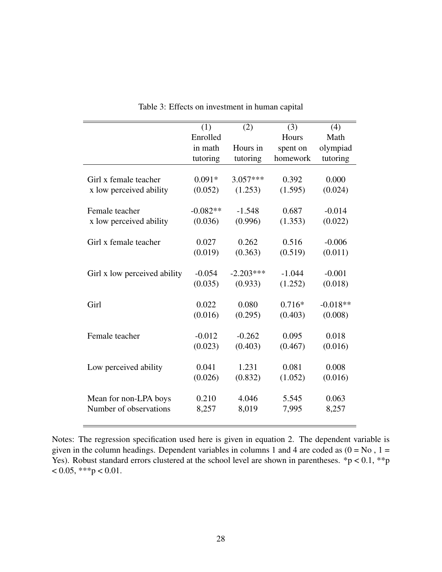|                              | (1)        | (2)         | (3)      | (4)        |
|------------------------------|------------|-------------|----------|------------|
|                              | Enrolled   |             | Hours    | Math       |
|                              | in math    | Hours in    | spent on | olympiad   |
|                              | tutoring   | tutoring    | homework | tutoring   |
|                              |            |             |          |            |
| Girl x female teacher        | $0.091*$   | $3.057***$  | 0.392    | 0.000      |
| x low perceived ability      | (0.052)    | (1.253)     | (1.595)  | (0.024)    |
| Female teacher               | $-0.082**$ | $-1.548$    | 0.687    | $-0.014$   |
| x low perceived ability      | (0.036)    | (0.996)     | (1.353)  | (0.022)    |
|                              |            |             |          |            |
| Girl x female teacher        | 0.027      | 0.262       | 0.516    | $-0.006$   |
|                              | (0.019)    | (0.363)     | (0.519)  | (0.011)    |
|                              |            |             |          |            |
| Girl x low perceived ability | $-0.054$   | $-2.203***$ | $-1.044$ | $-0.001$   |
|                              | (0.035)    | (0.933)     | (1.252)  | (0.018)    |
|                              |            |             |          |            |
| Girl                         | 0.022      | 0.080       | $0.716*$ | $-0.018**$ |
|                              | (0.016)    | (0.295)     | (0.403)  | (0.008)    |
|                              |            |             |          |            |
| Female teacher               | $-0.012$   | $-0.262$    | 0.095    | 0.018      |
|                              | (0.023)    | (0.403)     | (0.467)  | (0.016)    |
| Low perceived ability        | 0.041      | 1.231       | 0.081    | 0.008      |
|                              |            |             |          |            |
|                              | (0.026)    | (0.832)     | (1.052)  | (0.016)    |
| Mean for non-LPA boys        | 0.210      | 4.046       | 5.545    | 0.063      |
| Number of observations       | 8,257      | 8,019       | 7,995    | 8,257      |
|                              |            |             |          |            |

Table 3: Effects on investment in human capital

Notes: The regression specification used here is given in equation 2. The dependent variable is given in the column headings. Dependent variables in columns 1 and 4 are coded as  $(0 = No, 1 =$ Yes). Robust standard errors clustered at the school level are shown in parentheses.  $*p < 0.1$ ,  $**p$  $< 0.05,$  \*\*\*p  $< 0.01$ .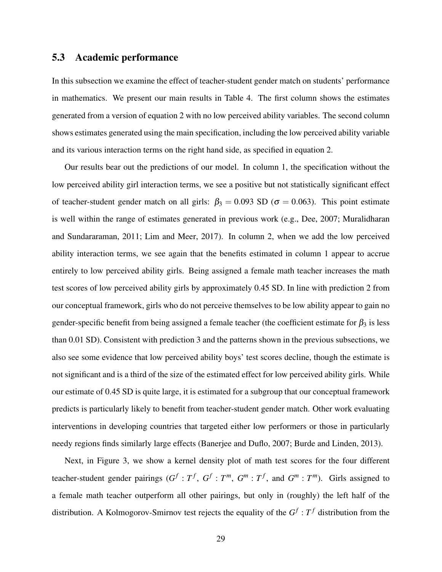## 5.3 Academic performance

In this subsection we examine the effect of teacher-student gender match on students' performance in mathematics. We present our main results in Table 4. The first column shows the estimates generated from a version of equation 2 with no low perceived ability variables. The second column shows estimates generated using the main specification, including the low perceived ability variable and its various interaction terms on the right hand side, as specified in equation 2.

Our results bear out the predictions of our model. In column 1, the specification without the low perceived ability girl interaction terms, we see a positive but not statistically significant effect of teacher-student gender match on all girls:  $\beta_3 = 0.093$  SD ( $\sigma = 0.063$ ). This point estimate is well within the range of estimates generated in previous work (e.g., Dee, 2007; Muralidharan and Sundararaman, 2011; Lim and Meer, 2017). In column 2, when we add the low perceived ability interaction terms, we see again that the benefits estimated in column 1 appear to accrue entirely to low perceived ability girls. Being assigned a female math teacher increases the math test scores of low perceived ability girls by approximately 0.45 SD. In line with prediction 2 from our conceptual framework, girls who do not perceive themselves to be low ability appear to gain no gender-specific benefit from being assigned a female teacher (the coefficient estimate for  $\beta_3$  is less than 0.01 SD). Consistent with prediction 3 and the patterns shown in the previous subsections, we also see some evidence that low perceived ability boys' test scores decline, though the estimate is not significant and is a third of the size of the estimated effect for low perceived ability girls. While our estimate of 0.45 SD is quite large, it is estimated for a subgroup that our conceptual framework predicts is particularly likely to benefit from teacher-student gender match. Other work evaluating interventions in developing countries that targeted either low performers or those in particularly needy regions finds similarly large effects (Banerjee and Duflo, 2007; Burde and Linden, 2013).

Next, in Figure 3, we show a kernel density plot of math test scores for the four different teacher-student gender pairings  $(G^f : T^f, G^f : T^m, G^m : T^f,$  and  $G^m : T^m$ ). Girls assigned to a female math teacher outperform all other pairings, but only in (roughly) the left half of the distribution. A Kolmogorov-Smirnov test rejects the equality of the  $G^f : T^f$  distribution from the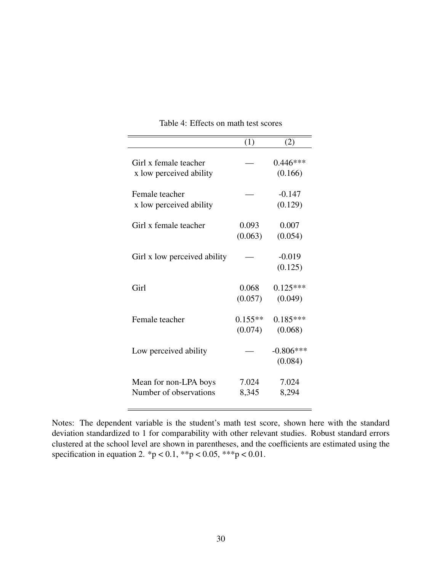|                                                  | (1)                  | (2)                    |
|--------------------------------------------------|----------------------|------------------------|
| Girl x female teacher<br>x low perceived ability |                      | $0.446***$<br>(0.166)  |
| Female teacher<br>x low perceived ability        |                      | $-0.147$<br>(0.129)    |
| Girl x female teacher                            | 0.093<br>(0.063)     | 0.007<br>(0.054)       |
| Girl x low perceived ability                     |                      | $-0.019$<br>(0.125)    |
| Girl                                             | 0.068<br>(0.057)     | $0.125***$<br>(0.049)  |
| Female teacher                                   | $0.155**$<br>(0.074) | $0.185***$<br>(0.068)  |
| Low perceived ability                            |                      | $-0.806***$<br>(0.084) |
| Mean for non-LPA boys<br>Number of observations  | 7.024<br>8,345       | 7.024<br>8,294         |

Table 4: Effects on math test scores

Notes: The dependent variable is the student's math test score, shown here with the standard deviation standardized to 1 for comparability with other relevant studies. Robust standard errors clustered at the school level are shown in parentheses, and the coefficients are estimated using the specification in equation 2. \*p < 0.1, \*\*p < 0.05, \*\*\*p < 0.01.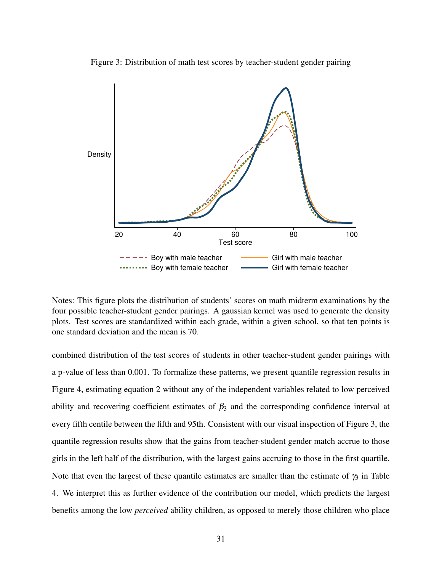

Figure 3: Distribution of math test scores by teacher-student gender pairing

Notes: This figure plots the distribution of students' scores on math midterm examinations by the four possible teacher-student gender pairings. A gaussian kernel was used to generate the density plots. Test scores are standardized within each grade, within a given school, so that ten points is one standard deviation and the mean is 70.

combined distribution of the test scores of students in other teacher-student gender pairings with a p-value of less than 0.001. To formalize these patterns, we present quantile regression results in Figure 4, estimating equation 2 without any of the independent variables related to low perceived ability and recovering coefficient estimates of  $\beta_3$  and the corresponding confidence interval at every fifth centile between the fifth and 95th. Consistent with our visual inspection of Figure 3, the quantile regression results show that the gains from teacher-student gender match accrue to those girls in the left half of the distribution, with the largest gains accruing to those in the first quartile. Note that even the largest of these quantile estimates are smaller than the estimate of  $\gamma_3$  in Table 4. We interpret this as further evidence of the contribution our model, which predicts the largest benefits among the low *perceived* ability children, as opposed to merely those children who place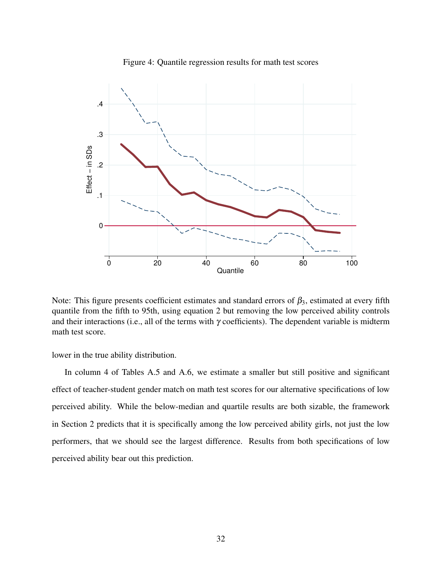

Figure 4: Quantile regression results for math test scores

Note: This figure presents coefficient estimates and standard errors of  $\beta_3$ , estimated at every fifth quantile from the fifth to 95th, using equation 2 but removing the low perceived ability controls and their interactions (i.e., all of the terms with  $\gamma$  coefficients). The dependent variable is midterm math test score.

lower in the true ability distribution.

In column 4 of Tables A.5 and A.6, we estimate a smaller but still positive and significant effect of teacher-student gender match on math test scores for our alternative specifications of low perceived ability. While the below-median and quartile results are both sizable, the framework in Section 2 predicts that it is specifically among the low perceived ability girls, not just the low performers, that we should see the largest difference. Results from both specifications of low perceived ability bear out this prediction.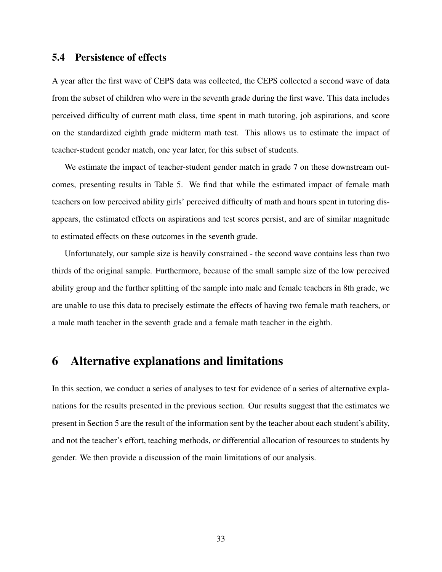#### 5.4 Persistence of effects

A year after the first wave of CEPS data was collected, the CEPS collected a second wave of data from the subset of children who were in the seventh grade during the first wave. This data includes perceived difficulty of current math class, time spent in math tutoring, job aspirations, and score on the standardized eighth grade midterm math test. This allows us to estimate the impact of teacher-student gender match, one year later, for this subset of students.

We estimate the impact of teacher-student gender match in grade 7 on these downstream outcomes, presenting results in Table 5. We find that while the estimated impact of female math teachers on low perceived ability girls' perceived difficulty of math and hours spent in tutoring disappears, the estimated effects on aspirations and test scores persist, and are of similar magnitude to estimated effects on these outcomes in the seventh grade.

Unfortunately, our sample size is heavily constrained - the second wave contains less than two thirds of the original sample. Furthermore, because of the small sample size of the low perceived ability group and the further splitting of the sample into male and female teachers in 8th grade, we are unable to use this data to precisely estimate the effects of having two female math teachers, or a male math teacher in the seventh grade and a female math teacher in the eighth.

## 6 Alternative explanations and limitations

In this section, we conduct a series of analyses to test for evidence of a series of alternative explanations for the results presented in the previous section. Our results suggest that the estimates we present in Section 5 are the result of the information sent by the teacher about each student's ability, and not the teacher's effort, teaching methods, or differential allocation of resources to students by gender. We then provide a discussion of the main limitations of our analysis.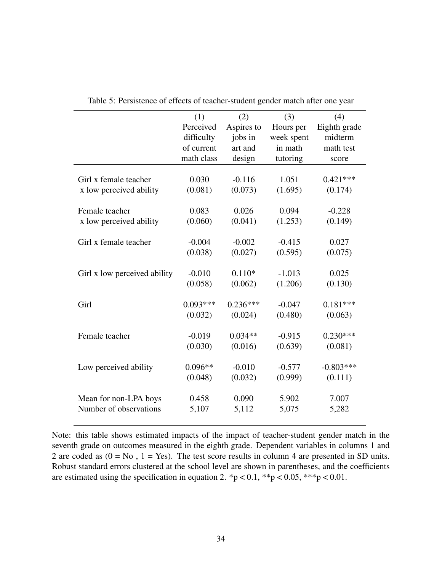|                              | (1)        | (2)        | (3)        | (4)          |
|------------------------------|------------|------------|------------|--------------|
|                              | Perceived  | Aspires to | Hours per  | Eighth grade |
|                              | difficulty | jobs in    | week spent | midterm      |
|                              | of current | art and    | in math    | math test    |
|                              | math class | design     | tutoring   | score        |
|                              |            |            |            |              |
| Girl x female teacher        | 0.030      | $-0.116$   | 1.051      | $0.421***$   |
| x low perceived ability      | (0.081)    | (0.073)    | (1.695)    | (0.174)      |
|                              |            |            |            |              |
| Female teacher               | 0.083      | 0.026      | 0.094      | $-0.228$     |
| x low perceived ability      | (0.060)    | (0.041)    | (1.253)    | (0.149)      |
|                              |            |            |            |              |
| Girl x female teacher        | $-0.004$   | $-0.002$   | $-0.415$   | 0.027        |
|                              | (0.038)    | (0.027)    | (0.595)    | (0.075)      |
|                              |            |            |            |              |
| Girl x low perceived ability | $-0.010$   | $0.110*$   | $-1.013$   | 0.025        |
|                              | (0.058)    | (0.062)    | (1.206)    | (0.130)      |
|                              |            |            |            |              |
| Girl                         | $0.093***$ | $0.236***$ | $-0.047$   | $0.181***$   |
|                              | (0.032)    | (0.024)    | (0.480)    | (0.063)      |
|                              |            |            |            |              |
| Female teacher               | $-0.019$   | $0.034**$  | $-0.915$   | $0.230***$   |
|                              | (0.030)    | (0.016)    | (0.639)    | (0.081)      |
|                              |            |            |            |              |
| Low perceived ability        | $0.096**$  | $-0.010$   | $-0.577$   | $-0.803***$  |
|                              |            |            |            |              |
|                              | (0.048)    | (0.032)    | (0.999)    | (0.111)      |
|                              |            |            |            |              |
| Mean for non-LPA boys        | 0.458      | 0.090      | 5.902      | 7.007        |
| Number of observations       | 5,107      | 5,112      | 5,075      | 5,282        |
|                              |            |            |            |              |

Table 5: Persistence of effects of teacher-student gender match after one year

Note: this table shows estimated impacts of the impact of teacher-student gender match in the seventh grade on outcomes measured in the eighth grade. Dependent variables in columns 1 and 2 are coded as  $(0 = No, 1 = Yes)$ . The test score results in column 4 are presented in SD units. Robust standard errors clustered at the school level are shown in parentheses, and the coefficients are estimated using the specification in equation 2. \*p < 0.1, \*\*p < 0.05, \*\*\*p < 0.01.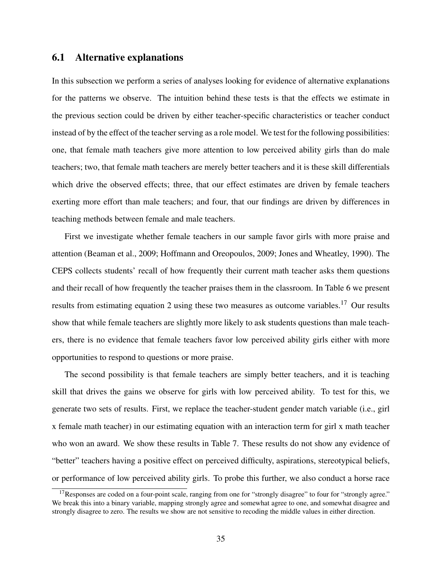### 6.1 Alternative explanations

In this subsection we perform a series of analyses looking for evidence of alternative explanations for the patterns we observe. The intuition behind these tests is that the effects we estimate in the previous section could be driven by either teacher-specific characteristics or teacher conduct instead of by the effect of the teacher serving as a role model. We test for the following possibilities: one, that female math teachers give more attention to low perceived ability girls than do male teachers; two, that female math teachers are merely better teachers and it is these skill differentials which drive the observed effects; three, that our effect estimates are driven by female teachers exerting more effort than male teachers; and four, that our findings are driven by differences in teaching methods between female and male teachers.

First we investigate whether female teachers in our sample favor girls with more praise and attention (Beaman et al., 2009; Hoffmann and Oreopoulos, 2009; Jones and Wheatley, 1990). The CEPS collects students' recall of how frequently their current math teacher asks them questions and their recall of how frequently the teacher praises them in the classroom. In Table 6 we present results from estimating equation 2 using these two measures as outcome variables.<sup>17</sup> Our results show that while female teachers are slightly more likely to ask students questions than male teachers, there is no evidence that female teachers favor low perceived ability girls either with more opportunities to respond to questions or more praise.

The second possibility is that female teachers are simply better teachers, and it is teaching skill that drives the gains we observe for girls with low perceived ability. To test for this, we generate two sets of results. First, we replace the teacher-student gender match variable (i.e., girl x female math teacher) in our estimating equation with an interaction term for girl x math teacher who won an award. We show these results in Table 7. These results do not show any evidence of "better" teachers having a positive effect on perceived difficulty, aspirations, stereotypical beliefs, or performance of low perceived ability girls. To probe this further, we also conduct a horse race

 $17$ Responses are coded on a four-point scale, ranging from one for "strongly disagree" to four for "strongly agree." We break this into a binary variable, mapping strongly agree and somewhat agree to one, and somewhat disagree and strongly disagree to zero. The results we show are not sensitive to recoding the middle values in either direction.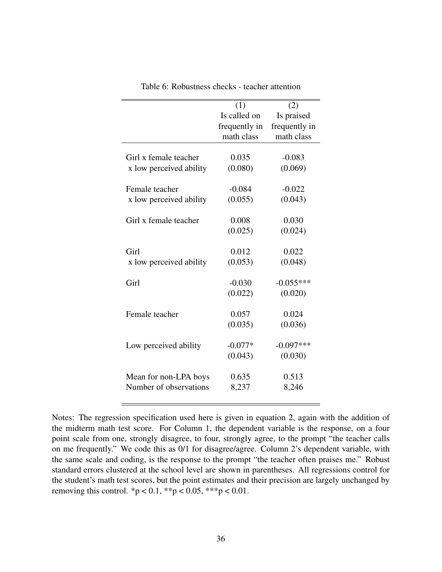|                         | (1)           | (2)           |
|-------------------------|---------------|---------------|
|                         | Is called on  | Is praised    |
|                         | frequently in | frequently in |
|                         | math class    | math class    |
|                         |               |               |
| Girl x female teacher   | 0.035         | $-0.083$      |
| x low perceived ability | (0.080)       | (0.069)       |
|                         |               |               |
| Female teacher          | $-0.084$      | $-0.022$      |
| x low perceived ability | (0.055)       | (0.043)       |
|                         |               |               |
| Girl x female teacher   | 0.008         | 0.030         |
|                         | (0.025)       | (0.024)       |
|                         |               |               |
| Girl                    | 0.012         | 0.022         |
| x low perceived ability | (0.053)       | (0.048)       |
| Girl                    |               |               |
|                         | $-0.030$      | $-0.055***$   |
|                         | (0.022)       | (0.020)       |
| Female teacher          | 0.057         | 0.024         |
|                         | (0.035)       | (0.036)       |
|                         |               |               |
| Low perceived ability   | $-0.077*$     | $-0.097***$   |
|                         | (0.043)       | (0.030)       |
|                         |               |               |
| Mean for non-LPA boys   | 0.635         | 0.513         |
| Number of observations  | 8,237         | 8,246         |
|                         |               |               |

Table 6: Robustness checks - teacher attention

Notes: The regression specification used here is given in equation 2, again with the addition of the midterm math test score. For Column 1, the dependent variable is the response, on a four point scale from one, strongly disagree, to four, strongly agree, to the prompt "the teacher calls on me frequently." We code this as 0/1 for disagree/agree. Column 2's dependent variable, with the same scale and coding, is the response to the prompt "the teacher often praises me." Robust standard errors clustered at the school level are shown in parentheses. All regressions control for the student's math test scores, but the point estimates and their precision are largely unchanged by removing this control. \*p < 0.1, \*\*p < 0.05, \*\*\*p < 0.01.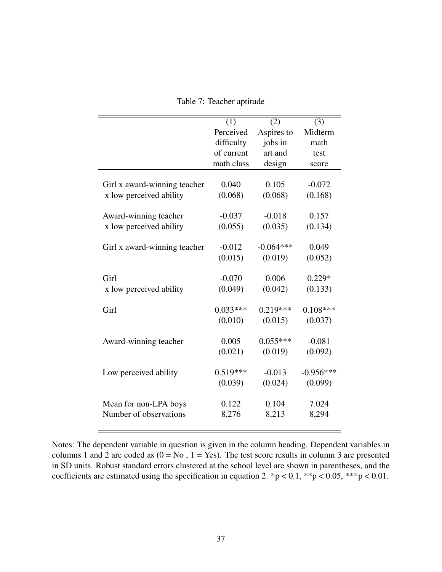|                              | (1)        | (2)         | (3)         |
|------------------------------|------------|-------------|-------------|
|                              | Perceived  | Aspires to  | Midterm     |
|                              | difficulty | jobs in     | math        |
|                              | of current | art and     | test        |
|                              | math class | design      | score       |
|                              |            |             |             |
| Girl x award-winning teacher | 0.040      | 0.105       | $-0.072$    |
| x low perceived ability      | (0.068)    | (0.068)     | (0.168)     |
|                              |            |             |             |
| Award-winning teacher        | $-0.037$   | $-0.018$    | 0.157       |
| x low perceived ability      | (0.055)    | (0.035)     | (0.134)     |
|                              |            |             |             |
| Girl x award-winning teacher | $-0.012$   | $-0.064***$ | 0.049       |
|                              | (0.015)    | (0.019)     | (0.052)     |
|                              |            |             |             |
| Girl                         | $-0.070$   | 0.006       | $0.229*$    |
| x low perceived ability      | (0.049)    | (0.042)     | (0.133)     |
|                              |            |             |             |
| Girl                         | $0.033***$ | $0.219***$  | $0.108***$  |
|                              | (0.010)    | (0.015)     | (0.037)     |
|                              |            |             |             |
| Award-winning teacher        | 0.005      | $0.055***$  | $-0.081$    |
|                              | (0.021)    | (0.019)     | (0.092)     |
|                              |            |             |             |
| Low perceived ability        | $0.519***$ | $-0.013$    | $-0.956***$ |
|                              | (0.039)    | (0.024)     | (0.099)     |
|                              |            |             |             |
| Mean for non-LPA boys        | 0.122      | 0.104       | 7.024       |
| Number of observations       | 8,276      | 8,213       | 8,294       |
|                              |            |             |             |

Table 7: Teacher aptitude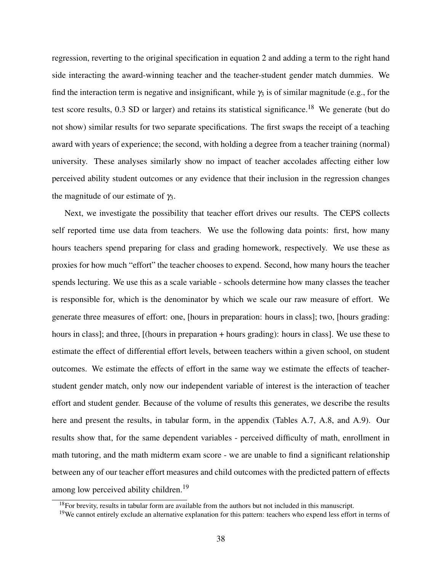regression, reverting to the original specification in equation 2 and adding a term to the right hand side interacting the award-winning teacher and the teacher-student gender match dummies. We find the interaction term is negative and insignificant, while  $\gamma_3$  is of similar magnitude (e.g., for the test score results,  $0.3$  SD or larger) and retains its statistical significance.<sup>18</sup> We generate (but do not show) similar results for two separate specifications. The first swaps the receipt of a teaching award with years of experience; the second, with holding a degree from a teacher training (normal) university. These analyses similarly show no impact of teacher accolades affecting either low perceived ability student outcomes or any evidence that their inclusion in the regression changes the magnitude of our estimate of  $\gamma_3$ .

Next, we investigate the possibility that teacher effort drives our results. The CEPS collects self reported time use data from teachers. We use the following data points: first, how many hours teachers spend preparing for class and grading homework, respectively. We use these as proxies for how much "effort" the teacher chooses to expend. Second, how many hours the teacher spends lecturing. We use this as a scale variable - schools determine how many classes the teacher is responsible for, which is the denominator by which we scale our raw measure of effort. We generate three measures of effort: one, [hours in preparation: hours in class]; two, [hours grading: hours in class]; and three, [(hours in preparation + hours grading): hours in class]. We use these to estimate the effect of differential effort levels, between teachers within a given school, on student outcomes. We estimate the effects of effort in the same way we estimate the effects of teacherstudent gender match, only now our independent variable of interest is the interaction of teacher effort and student gender. Because of the volume of results this generates, we describe the results here and present the results, in tabular form, in the appendix (Tables A.7, A.8, and A.9). Our results show that, for the same dependent variables - perceived difficulty of math, enrollment in math tutoring, and the math midterm exam score - we are unable to find a significant relationship between any of our teacher effort measures and child outcomes with the predicted pattern of effects among low perceived ability children.<sup>19</sup>

<sup>&</sup>lt;sup>18</sup>For brevity, results in tabular form are available from the authors but not included in this manuscript.

 $19$ We cannot entirely exclude an alternative explanation for this pattern: teachers who expend less effort in terms of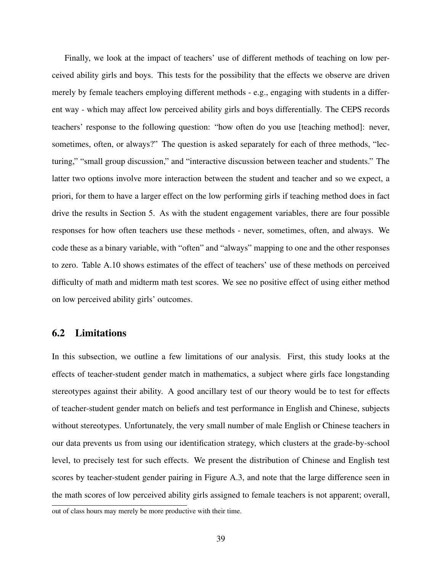Finally, we look at the impact of teachers' use of different methods of teaching on low perceived ability girls and boys. This tests for the possibility that the effects we observe are driven merely by female teachers employing different methods - e.g., engaging with students in a different way - which may affect low perceived ability girls and boys differentially. The CEPS records teachers' response to the following question: "how often do you use [teaching method]: never, sometimes, often, or always?" The question is asked separately for each of three methods, "lecturing," "small group discussion," and "interactive discussion between teacher and students." The latter two options involve more interaction between the student and teacher and so we expect, a priori, for them to have a larger effect on the low performing girls if teaching method does in fact drive the results in Section 5. As with the student engagement variables, there are four possible responses for how often teachers use these methods - never, sometimes, often, and always. We code these as a binary variable, with "often" and "always" mapping to one and the other responses to zero. Table A.10 shows estimates of the effect of teachers' use of these methods on perceived difficulty of math and midterm math test scores. We see no positive effect of using either method on low perceived ability girls' outcomes.

#### 6.2 Limitations

In this subsection, we outline a few limitations of our analysis. First, this study looks at the effects of teacher-student gender match in mathematics, a subject where girls face longstanding stereotypes against their ability. A good ancillary test of our theory would be to test for effects of teacher-student gender match on beliefs and test performance in English and Chinese, subjects without stereotypes. Unfortunately, the very small number of male English or Chinese teachers in our data prevents us from using our identification strategy, which clusters at the grade-by-school level, to precisely test for such effects. We present the distribution of Chinese and English test scores by teacher-student gender pairing in Figure A.3, and note that the large difference seen in the math scores of low perceived ability girls assigned to female teachers is not apparent; overall,

out of class hours may merely be more productive with their time.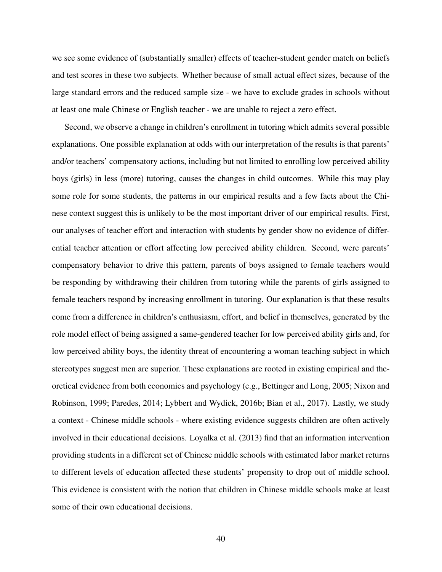we see some evidence of (substantially smaller) effects of teacher-student gender match on beliefs and test scores in these two subjects. Whether because of small actual effect sizes, because of the large standard errors and the reduced sample size - we have to exclude grades in schools without at least one male Chinese or English teacher - we are unable to reject a zero effect.

Second, we observe a change in children's enrollment in tutoring which admits several possible explanations. One possible explanation at odds with our interpretation of the results is that parents' and/or teachers' compensatory actions, including but not limited to enrolling low perceived ability boys (girls) in less (more) tutoring, causes the changes in child outcomes. While this may play some role for some students, the patterns in our empirical results and a few facts about the Chinese context suggest this is unlikely to be the most important driver of our empirical results. First, our analyses of teacher effort and interaction with students by gender show no evidence of differential teacher attention or effort affecting low perceived ability children. Second, were parents' compensatory behavior to drive this pattern, parents of boys assigned to female teachers would be responding by withdrawing their children from tutoring while the parents of girls assigned to female teachers respond by increasing enrollment in tutoring. Our explanation is that these results come from a difference in children's enthusiasm, effort, and belief in themselves, generated by the role model effect of being assigned a same-gendered teacher for low perceived ability girls and, for low perceived ability boys, the identity threat of encountering a woman teaching subject in which stereotypes suggest men are superior. These explanations are rooted in existing empirical and theoretical evidence from both economics and psychology (e.g., Bettinger and Long, 2005; Nixon and Robinson, 1999; Paredes, 2014; Lybbert and Wydick, 2016b; Bian et al., 2017). Lastly, we study a context - Chinese middle schools - where existing evidence suggests children are often actively involved in their educational decisions. Loyalka et al. (2013) find that an information intervention providing students in a different set of Chinese middle schools with estimated labor market returns to different levels of education affected these students' propensity to drop out of middle school. This evidence is consistent with the notion that children in Chinese middle schools make at least some of their own educational decisions.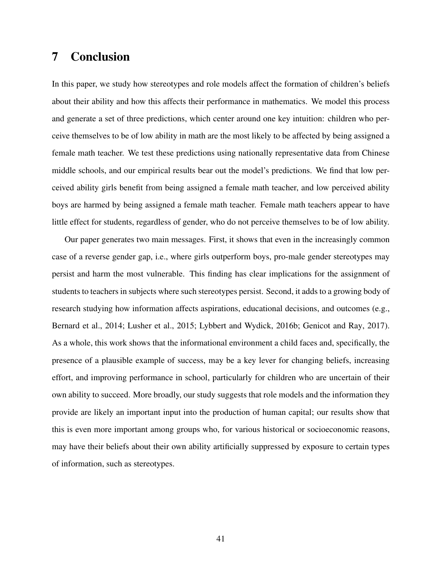## 7 Conclusion

In this paper, we study how stereotypes and role models affect the formation of children's beliefs about their ability and how this affects their performance in mathematics. We model this process and generate a set of three predictions, which center around one key intuition: children who perceive themselves to be of low ability in math are the most likely to be affected by being assigned a female math teacher. We test these predictions using nationally representative data from Chinese middle schools, and our empirical results bear out the model's predictions. We find that low perceived ability girls benefit from being assigned a female math teacher, and low perceived ability boys are harmed by being assigned a female math teacher. Female math teachers appear to have little effect for students, regardless of gender, who do not perceive themselves to be of low ability.

Our paper generates two main messages. First, it shows that even in the increasingly common case of a reverse gender gap, i.e., where girls outperform boys, pro-male gender stereotypes may persist and harm the most vulnerable. This finding has clear implications for the assignment of students to teachers in subjects where such stereotypes persist. Second, it adds to a growing body of research studying how information affects aspirations, educational decisions, and outcomes (e.g., Bernard et al., 2014; Lusher et al., 2015; Lybbert and Wydick, 2016b; Genicot and Ray, 2017). As a whole, this work shows that the informational environment a child faces and, specifically, the presence of a plausible example of success, may be a key lever for changing beliefs, increasing effort, and improving performance in school, particularly for children who are uncertain of their own ability to succeed. More broadly, our study suggests that role models and the information they provide are likely an important input into the production of human capital; our results show that this is even more important among groups who, for various historical or socioeconomic reasons, may have their beliefs about their own ability artificially suppressed by exposure to certain types of information, such as stereotypes.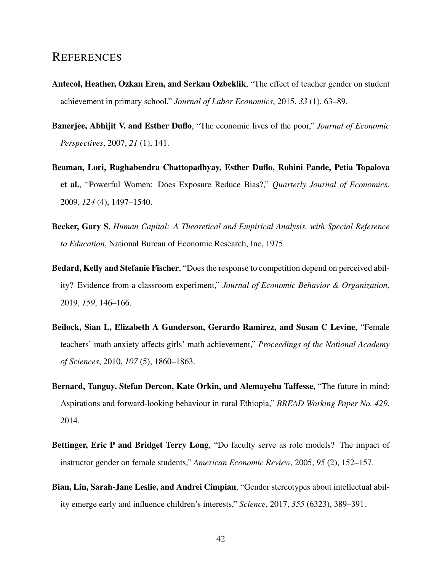## **REFERENCES**

- Antecol, Heather, Ozkan Eren, and Serkan Ozbeklik, "The effect of teacher gender on student achievement in primary school," *Journal of Labor Economics*, 2015, *33* (1), 63–89.
- Banerjee, Abhijit V. and Esther Duflo, "The economic lives of the poor," *Journal of Economic Perspectives*, 2007, *21* (1), 141.
- Beaman, Lori, Raghabendra Chattopadhyay, Esther Duflo, Rohini Pande, Petia Topalova et al., "Powerful Women: Does Exposure Reduce Bias?," *Quarterly Journal of Economics*, 2009, *124* (4), 1497–1540.
- Becker, Gary S, *Human Capital: A Theoretical and Empirical Analysis, with Special Reference to Education*, National Bureau of Economic Research, Inc, 1975.
- Bedard, Kelly and Stefanie Fischer, "Does the response to competition depend on perceived ability? Evidence from a classroom experiment," *Journal of Economic Behavior & Organization*, 2019, *159*, 146–166.
- Beilock, Sian L, Elizabeth A Gunderson, Gerardo Ramirez, and Susan C Levine, "Female teachers' math anxiety affects girls' math achievement," *Proceedings of the National Academy of Sciences*, 2010, *107* (5), 1860–1863.
- Bernard, Tanguy, Stefan Dercon, Kate Orkin, and Alemayehu Taffesse, "The future in mind: Aspirations and forward-looking behaviour in rural Ethiopia," *BREAD Working Paper No. 429*, 2014.
- Bettinger, Eric P and Bridget Terry Long, "Do faculty serve as role models? The impact of instructor gender on female students," *American Economic Review*, 2005, *95* (2), 152–157.
- Bian, Lin, Sarah-Jane Leslie, and Andrei Cimpian, "Gender stereotypes about intellectual ability emerge early and influence children's interests," *Science*, 2017, *355* (6323), 389–391.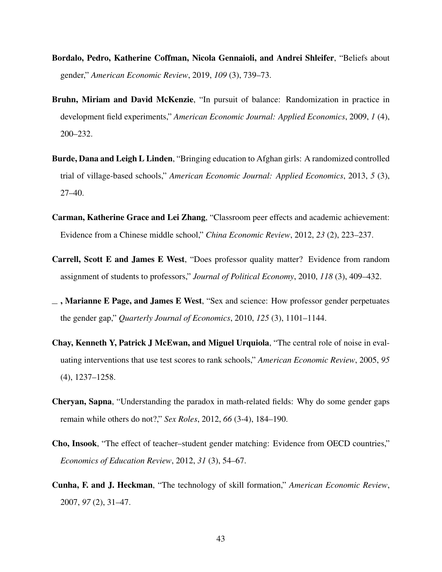- Bordalo, Pedro, Katherine Coffman, Nicola Gennaioli, and Andrei Shleifer, "Beliefs about gender," *American Economic Review*, 2019, *109* (3), 739–73.
- Bruhn, Miriam and David McKenzie, "In pursuit of balance: Randomization in practice in development field experiments," *American Economic Journal: Applied Economics*, 2009, *1* (4), 200–232.
- Burde, Dana and Leigh L Linden, "Bringing education to Afghan girls: A randomized controlled trial of village-based schools," *American Economic Journal: Applied Economics*, 2013, *5* (3), 27–40.
- Carman, Katherine Grace and Lei Zhang, "Classroom peer effects and academic achievement: Evidence from a Chinese middle school," *China Economic Review*, 2012, *23* (2), 223–237.
- Carrell, Scott E and James E West, "Does professor quality matter? Evidence from random assignment of students to professors," *Journal of Political Economy*, 2010, *118* (3), 409–432.
- $\overline{\phantom{a}}$ , Marianne E Page, and James E West, "Sex and science: How professor gender perpetuates the gender gap," *Quarterly Journal of Economics*, 2010, *125* (3), 1101–1144.
- Chay, Kenneth Y, Patrick J McEwan, and Miguel Urquiola, "The central role of noise in evaluating interventions that use test scores to rank schools," *American Economic Review*, 2005, *95* (4), 1237–1258.
- Cheryan, Sapna, "Understanding the paradox in math-related fields: Why do some gender gaps remain while others do not?," *Sex Roles*, 2012, *66* (3-4), 184–190.
- Cho, Insook, "The effect of teacher–student gender matching: Evidence from OECD countries," *Economics of Education Review*, 2012, *31* (3), 54–67.
- Cunha, F. and J. Heckman, "The technology of skill formation," *American Economic Review*, 2007, *97* (2), 31–47.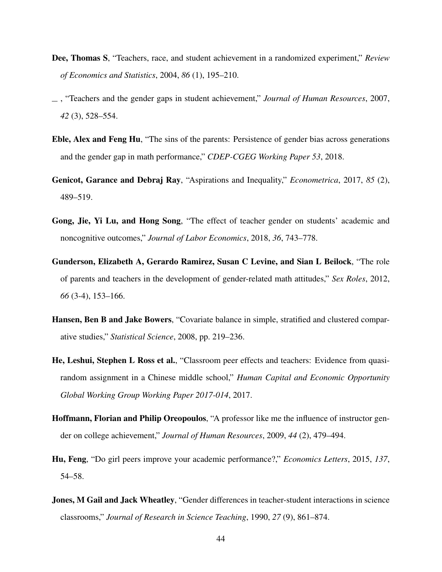- Dee, Thomas S, "Teachers, race, and student achievement in a randomized experiment," *Review of Economics and Statistics*, 2004, *86* (1), 195–210.
- , "Teachers and the gender gaps in student achievement," *Journal of Human Resources*, 2007, *42* (3), 528–554.
- Eble, Alex and Feng Hu, "The sins of the parents: Persistence of gender bias across generations and the gender gap in math performance," *CDEP-CGEG Working Paper 53*, 2018.
- Genicot, Garance and Debraj Ray, "Aspirations and Inequality," *Econometrica*, 2017, *85* (2), 489–519.
- Gong, Jie, Yi Lu, and Hong Song, "The effect of teacher gender on students' academic and noncognitive outcomes," *Journal of Labor Economics*, 2018, *36*, 743–778.
- Gunderson, Elizabeth A, Gerardo Ramirez, Susan C Levine, and Sian L Beilock, "The role of parents and teachers in the development of gender-related math attitudes," *Sex Roles*, 2012, *66* (3-4), 153–166.
- Hansen, Ben B and Jake Bowers, "Covariate balance in simple, stratified and clustered comparative studies," *Statistical Science*, 2008, pp. 219–236.
- He, Leshui, Stephen L Ross et al., "Classroom peer effects and teachers: Evidence from quasirandom assignment in a Chinese middle school," *Human Capital and Economic Opportunity Global Working Group Working Paper 2017-014*, 2017.
- Hoffmann, Florian and Philip Oreopoulos, "A professor like me the influence of instructor gender on college achievement," *Journal of Human Resources*, 2009, *44* (2), 479–494.
- Hu, Feng, "Do girl peers improve your academic performance?," *Economics Letters*, 2015, *137*, 54–58.
- Jones, M Gail and Jack Wheatley, "Gender differences in teacher-student interactions in science classrooms," *Journal of Research in Science Teaching*, 1990, *27* (9), 861–874.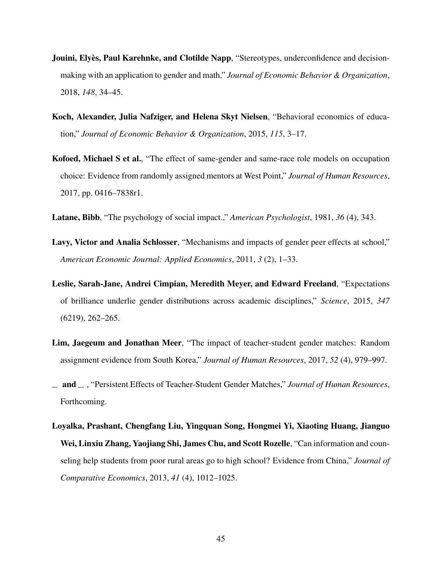- Jouini, Elyès, Paul Karehnke, and Clotilde Napp, "Stereotypes, underconfidence and decisionmaking with an application to gender and math," *Journal of Economic Behavior & Organization*, 2018, *148*, 34–45.
- Koch, Alexander, Julia Nafziger, and Helena Skyt Nielsen, "Behavioral economics of education," *Journal of Economic Behavior & Organization*, 2015, *115*, 3–17.
- Kofoed, Michael S et al., "The effect of same-gender and same-race role models on occupation choice: Evidence from randomly assigned mentors at West Point," *Journal of Human Resources*, 2017, pp. 0416–7838r1.
- Latane, Bibb, "The psychology of social impact.," *American Psychologist*, 1981, *36* (4), 343.
- Lavy, Victor and Analia Schlosser, "Mechanisms and impacts of gender peer effects at school," *American Economic Journal: Applied Economics*, 2011, *3* (2), 1–33.
- Leslie, Sarah-Jane, Andrei Cimpian, Meredith Meyer, and Edward Freeland, "Expectations of brilliance underlie gender distributions across academic disciplines," *Science*, 2015, *347* (6219), 262–265.
- Lim, Jaegeum and Jonathan Meer, "The impact of teacher-student gender matches: Random assignment evidence from South Korea," *Journal of Human Resources*, 2017, *52* (4), 979–997.
- and , "Persistent Effects of Teacher-Student Gender Matches," *Journal of Human Resources*, Forthcoming.
- Loyalka, Prashant, Chengfang Liu, Yingquan Song, Hongmei Yi, Xiaoting Huang, Jianguo Wei, Linxiu Zhang, Yaojiang Shi, James Chu, and Scott Rozelle, "Can information and counseling help students from poor rural areas go to high school? Evidence from China," *Journal of Comparative Economics*, 2013, *41* (4), 1012–1025.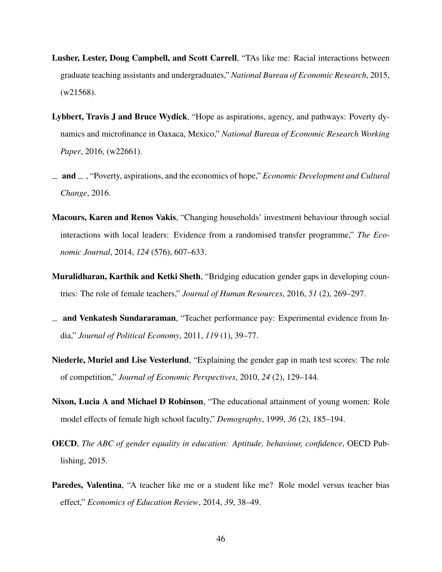- Lusher, Lester, Doug Campbell, and Scott Carrell, "TAs like me: Racial interactions between graduate teaching assistants and undergraduates," *National Bureau of Economic Research*, 2015, (w21568).
- Lybbert, Travis J and Bruce Wydick, "Hope as aspirations, agency, and pathways: Poverty dynamics and microfinance in Oaxaca, Mexico," *National Bureau of Economic Research Working Paper*, 2016, (w22661).
- $\Box$  and  $\Box$ , "Poverty, aspirations, and the economics of hope," *Economic Development and Cultural Change*, 2016.
- Macours, Karen and Renos Vakis, "Changing households' investment behaviour through social interactions with local leaders: Evidence from a randomised transfer programme," *The Economic Journal*, 2014, *124* (576), 607–633.
- Muralidharan, Karthik and Ketki Sheth, "Bridging education gender gaps in developing countries: The role of female teachers," *Journal of Human Resources*, 2016, *51* (2), 269–297.
- $\equiv$  and Venkatesh Sundararaman, "Teacher performance pay: Experimental evidence from India," *Journal of Political Economy*, 2011, *119* (1), 39–77.
- Niederle, Muriel and Lise Vesterlund, "Explaining the gender gap in math test scores: The role of competition," *Journal of Economic Perspectives*, 2010, *24* (2), 129–144.
- Nixon, Lucia A and Michael D Robinson, "The educational attainment of young women: Role model effects of female high school faculty," *Demography*, 1999, *36* (2), 185–194.
- OECD, *The ABC of gender equality in education: Aptitude, behaviour, confidence*, OECD Publishing, 2015.
- Paredes, Valentina, "A teacher like me or a student like me? Role model versus teacher bias effect," *Economics of Education Review*, 2014, *39*, 38–49.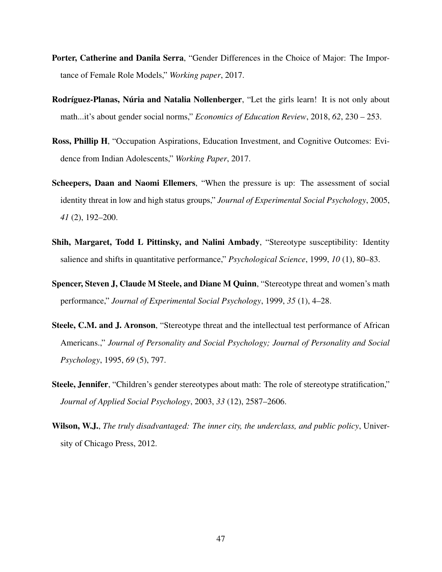- Porter, Catherine and Danila Serra, "Gender Differences in the Choice of Major: The Importance of Female Role Models," *Working paper*, 2017.
- Rodríguez-Planas, Núria and Natalia Nollenberger, "Let the girls learn! It is not only about math...it's about gender social norms," *Economics of Education Review*, 2018, *62*, 230 – 253.
- Ross, Phillip H, "Occupation Aspirations, Education Investment, and Cognitive Outcomes: Evidence from Indian Adolescents," *Working Paper*, 2017.
- Scheepers, Daan and Naomi Ellemers, "When the pressure is up: The assessment of social identity threat in low and high status groups," *Journal of Experimental Social Psychology*, 2005, *41* (2), 192–200.
- Shih, Margaret, Todd L Pittinsky, and Nalini Ambady, "Stereotype susceptibility: Identity salience and shifts in quantitative performance," *Psychological Science*, 1999, *10* (1), 80–83.
- Spencer, Steven J, Claude M Steele, and Diane M Quinn, "Stereotype threat and women's math performance," *Journal of Experimental Social Psychology*, 1999, *35* (1), 4–28.
- Steele, C.M. and J. Aronson, "Stereotype threat and the intellectual test performance of African Americans.," *Journal of Personality and Social Psychology; Journal of Personality and Social Psychology*, 1995, *69* (5), 797.
- Steele, Jennifer, "Children's gender stereotypes about math: The role of stereotype stratification," *Journal of Applied Social Psychology*, 2003, *33* (12), 2587–2606.
- Wilson, W.J., *The truly disadvantaged: The inner city, the underclass, and public policy*, University of Chicago Press, 2012.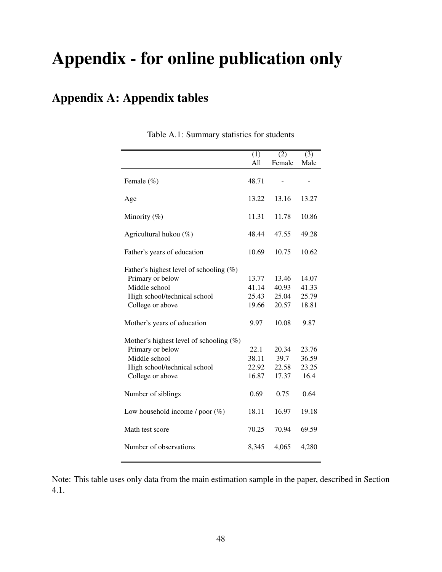# Appendix - for online publication only

# Appendix A: Appendix tables

|                                            | $\overline{(1)}$ | (2)    | $\overline{(3)}$ |
|--------------------------------------------|------------------|--------|------------------|
|                                            | All              | Female | Male             |
|                                            |                  |        |                  |
| Female (%)                                 | 48.71            |        |                  |
| Age                                        | 13.22            | 13.16  | 13.27            |
| Minority $(\%)$                            | 11.31            | 11.78  | 10.86            |
| Agricultural hukou (%)                     | 48.44            | 47.55  | 49.28            |
| Father's years of education                | 10.69            | 10.75  | 10.62            |
| Father's highest level of schooling $(\%)$ |                  |        |                  |
| Primary or below                           | 13.77            | 13.46  | 14.07            |
| Middle school                              | 41.14            | 40.93  | 41.33            |
| High school/technical school               | 25.43            | 25.04  | 25.79            |
| College or above                           | 19.66            | 20.57  | 18.81            |
| Mother's years of education                | 9.97             | 10.08  | 9.87             |
| Mother's highest level of schooling $(\%)$ |                  |        |                  |
| Primary or below                           | 22.1             | 20.34  | 23.76            |
| Middle school                              | 38.11            | 39.7   | 36.59            |
| High school/technical school               | 22.92            | 22.58  | 23.25            |
| College or above                           | 16.87            | 17.37  | 16.4             |
| Number of siblings                         | 0.69             | 0.75   | 0.64             |
| Low household income / poor $(\%)$         | 18.11            | 16.97  | 19.18            |
| Math test score                            | 70.25            | 70.94  | 69.59            |
| Number of observations                     | 8,345            | 4,065  | 4,280            |

Table A.1: Summary statistics for students

Note: This table uses only data from the main estimation sample in the paper, described in Section 4.1.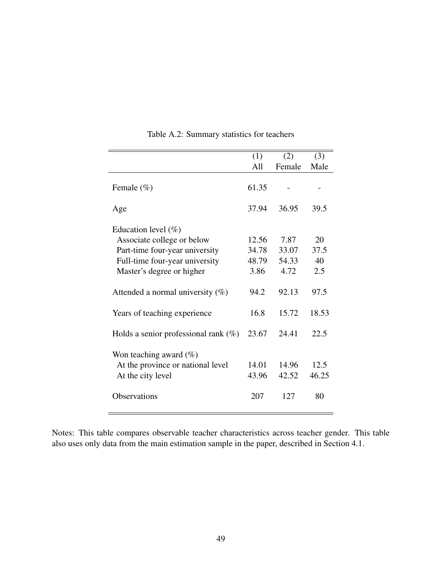|                                                                                                                                                       | (1)                             | (2)                            | (3)                     |
|-------------------------------------------------------------------------------------------------------------------------------------------------------|---------------------------------|--------------------------------|-------------------------|
|                                                                                                                                                       | All                             | Female                         | Male                    |
| Female $(\% )$                                                                                                                                        | 61.35                           |                                |                         |
| Age                                                                                                                                                   | 37.94                           | 36.95                          | 39.5                    |
| Education level $(\%)$<br>Associate college or below<br>Part-time four-year university<br>Full-time four-year university<br>Master's degree or higher | 12.56<br>34.78<br>48.79<br>3.86 | 7.87<br>33.07<br>54.33<br>4.72 | 20<br>37.5<br>40<br>2.5 |
| Attended a normal university $(\%)$                                                                                                                   | 94.2                            | 92.13                          | 97.5                    |
| Years of teaching experience                                                                                                                          | 16.8                            | 15.72                          | 18.53                   |
| Holds a senior professional rank $(\%)$                                                                                                               | 23.67                           | 24.41                          | 22.5                    |
| Won teaching award $(\%)$<br>At the province or national level<br>At the city level<br><b>Observations</b>                                            | 14.01<br>43.96<br>207           | 14.96<br>42.52<br>127          | 12.5<br>46.25<br>80     |

Table A.2: Summary statistics for teachers

Notes: This table compares observable teacher characteristics across teacher gender. This table also uses only data from the main estimation sample in the paper, described in Section 4.1.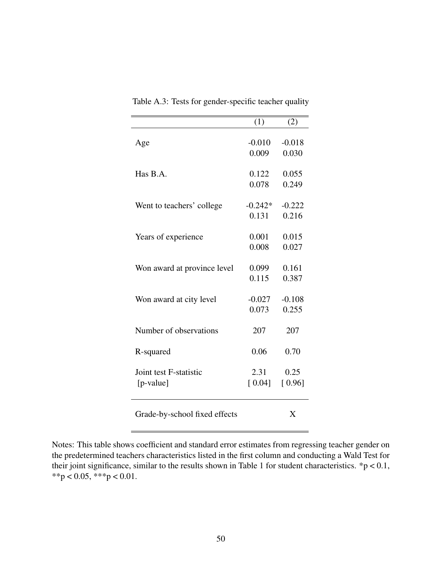Table A.3: Tests for gender-specific teacher quality

Notes: This table shows coefficient and standard error estimates from regressing teacher gender on the predetermined teachers characteristics listed in the first column and conducting a Wald Test for their joint significance, similar to the results shown in Table 1 for student characteristics.  $*p < 0.1$ , \*\*p < 0.05, \*\*\*p < 0.01.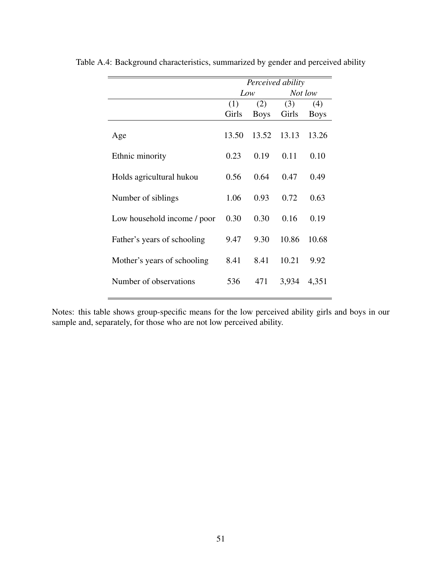|                             | Perceived ability |             |         |             |
|-----------------------------|-------------------|-------------|---------|-------------|
|                             | Low               |             | Not low |             |
|                             | (1)               | (2)         | (3)     | (4)         |
|                             | Girls             | <b>Boys</b> | Girls   | <b>Boys</b> |
| Age                         | 13.50             | 13.52       | 13.13   | 13.26       |
| Ethnic minority             | 0.23              | 0.19        | 0.11    | 0.10        |
| Holds agricultural hukou    | 0.56              | 0.64        | 0.47    | 0.49        |
| Number of siblings          | 1.06              | 0.93        | 0.72    | 0.63        |
| Low household income / poor | 0.30              | 0.30        | 0.16    | 0.19        |
| Father's years of schooling | 9.47              | 9.30        | 10.86   | 10.68       |
| Mother's years of schooling | 8.41              | 8.41        | 10.21   | 9.92        |
| Number of observations      | 536               | 471         | 3,934   | 4,351       |

Table A.4: Background characteristics, summarized by gender and perceived ability

Notes: this table shows group-specific means for the low perceived ability girls and boys in our sample and, separately, for those who are not low perceived ability.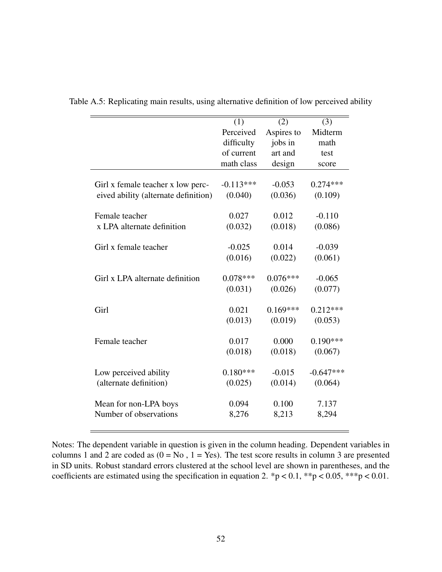|                                      | (1)         | (2)        | (3)         |
|--------------------------------------|-------------|------------|-------------|
|                                      | Perceived   | Aspires to | Midterm     |
|                                      | difficulty  | jobs in    | math        |
|                                      | of current  | art and    | test        |
|                                      | math class  | design     | score       |
|                                      |             |            |             |
| Girl x female teacher x low perc-    | $-0.113***$ | $-0.053$   | $0.274***$  |
| eived ability (alternate definition) | (0.040)     | (0.036)    | (0.109)     |
|                                      |             |            |             |
| Female teacher                       | 0.027       | 0.012      | $-0.110$    |
| x LPA alternate definition           | (0.032)     | (0.018)    | (0.086)     |
|                                      |             |            |             |
| Girl x female teacher                | $-0.025$    | 0.014      | $-0.039$    |
|                                      | (0.016)     | (0.022)    | (0.061)     |
|                                      |             |            |             |
| Girl x LPA alternate definition      | $0.078***$  | $0.076***$ | $-0.065$    |
|                                      | (0.031)     | (0.026)    | (0.077)     |
|                                      | 0.021       | $0.169***$ |             |
| Girl                                 |             |            | $0.212***$  |
|                                      | (0.013)     | (0.019)    | (0.053)     |
| Female teacher                       | 0.017       | 0.000      | $0.190***$  |
|                                      | (0.018)     | (0.018)    | (0.067)     |
|                                      |             |            |             |
| Low perceived ability                | $0.180***$  | $-0.015$   | $-0.647***$ |
| (alternate definition)               | (0.025)     | (0.014)    | (0.064)     |
|                                      |             |            |             |
| Mean for non-LPA boys                | 0.094       | 0.100      | 7.137       |
| Number of observations               | 8,276       | 8,213      | 8,294       |
|                                      |             |            |             |

Table A.5: Replicating main results, using alternative definition of low perceived ability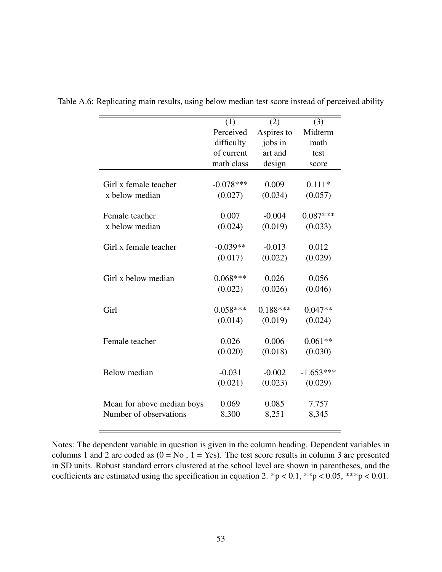|                            | (1)         | (2)        | (3)         |
|----------------------------|-------------|------------|-------------|
|                            | Perceived   | Aspires to | Midterm     |
|                            | difficulty  | jobs in    | math        |
|                            | of current  | art and    | test        |
|                            | math class  | design     | score       |
|                            |             |            |             |
| Girl x female teacher      | $-0.078***$ | 0.009      | $0.111*$    |
| x below median             | (0.027)     | (0.034)    | (0.057)     |
|                            |             |            |             |
| Female teacher             | 0.007       | $-0.004$   | $0.087***$  |
| x below median             | (0.024)     | (0.019)    | (0.033)     |
|                            |             |            |             |
| Girl x female teacher      | $-0.039**$  | $-0.013$   | 0.012       |
|                            | (0.017)     | (0.022)    | (0.029)     |
|                            |             |            |             |
| Girl x below median        | $0.068***$  | 0.026      | 0.056       |
|                            | (0.022)     | (0.026)    | (0.046)     |
|                            |             |            |             |
| Girl                       | $0.058***$  | $0.188***$ | $0.047**$   |
|                            | (0.014)     | (0.019)    | (0.024)     |
|                            |             |            |             |
| Female teacher             | 0.026       | 0.006      | $0.061**$   |
|                            | (0.020)     | (0.018)    | (0.030)     |
|                            |             |            |             |
| Below median               | $-0.031$    | $-0.002$   | $-1.653***$ |
|                            | (0.021)     | (0.023)    | (0.029)     |
|                            |             |            |             |
| Mean for above median boys | 0.069       | 0.085      | 7.757       |
| Number of observations     | 8,300       | 8,251      | 8,345       |
|                            |             |            |             |

Table A.6: Replicating main results, using below median test score instead of perceived ability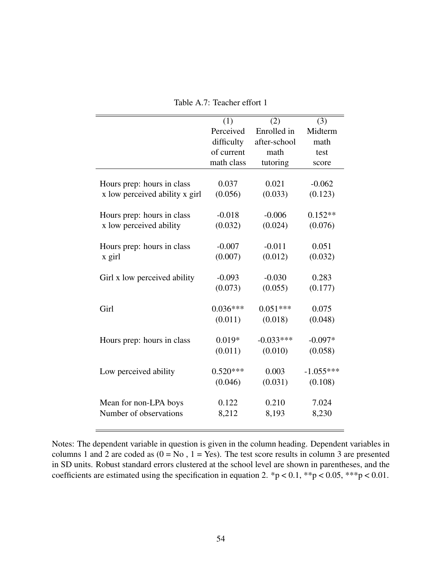|                                | (1)        | (2)          | (3)         |
|--------------------------------|------------|--------------|-------------|
|                                | Perceived  | Enrolled in  | Midterm     |
|                                | difficulty | after-school | math        |
|                                | of current | math         | test        |
|                                | math class | tutoring     | score       |
|                                |            |              |             |
| Hours prep: hours in class     | 0.037      | 0.021        | $-0.062$    |
| x low perceived ability x girl | (0.056)    | (0.033)      | (0.123)     |
|                                |            |              |             |
| Hours prep: hours in class     | $-0.018$   | $-0.006$     | $0.152**$   |
| x low perceived ability        | (0.032)    | (0.024)      | (0.076)     |
|                                |            |              |             |
| Hours prep: hours in class     | $-0.007$   | $-0.011$     | 0.051       |
| x girl                         | (0.007)    | (0.012)      | (0.032)     |
|                                |            |              |             |
| Girl x low perceived ability   | $-0.093$   | $-0.030$     | 0.283       |
|                                | (0.073)    | (0.055)      | (0.177)     |
|                                |            |              |             |
| Girl                           | $0.036***$ | $0.051***$   | 0.075       |
|                                | (0.011)    | (0.018)      | (0.048)     |
|                                |            |              |             |
| Hours prep: hours in class     | $0.019*$   | $-0.033***$  | $-0.097*$   |
|                                | (0.011)    | (0.010)      | (0.058)     |
|                                |            |              |             |
| Low perceived ability          | $0.520***$ | 0.003        | $-1.055***$ |
|                                | (0.046)    | (0.031)      | (0.108)     |
|                                |            |              |             |
| Mean for non-LPA boys          | 0.122      | 0.210        | 7.024       |
| Number of observations         | 8,212      | 8,193        | 8,230       |
|                                |            |              |             |

Table A.7: Teacher effort 1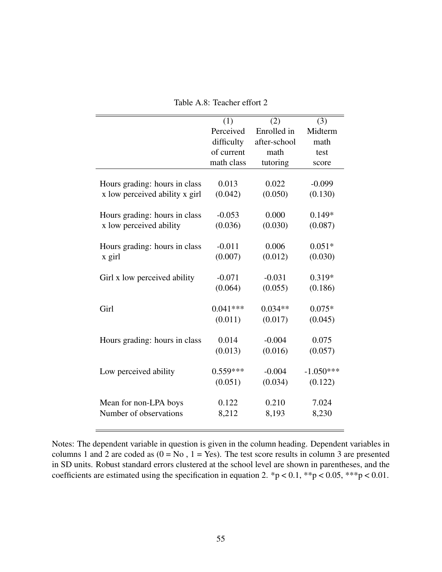|                                | (1)        | (2)          | (3)         |
|--------------------------------|------------|--------------|-------------|
|                                | Perceived  | Enrolled in  | Midterm     |
|                                | difficulty | after-school | math        |
|                                | of current | math         | test        |
|                                | math class | tutoring     | score       |
|                                |            |              |             |
| Hours grading: hours in class  | 0.013      | 0.022        | $-0.099$    |
| x low perceived ability x girl | (0.042)    | (0.050)      | (0.130)     |
|                                |            |              |             |
| Hours grading: hours in class  | $-0.053$   | 0.000        | $0.149*$    |
| x low perceived ability        | (0.036)    | (0.030)      | (0.087)     |
|                                |            |              |             |
| Hours grading: hours in class  | $-0.011$   | 0.006        | $0.051*$    |
| x girl                         | (0.007)    | (0.012)      | (0.030)     |
|                                |            |              |             |
| Girl x low perceived ability   | $-0.071$   | $-0.031$     | $0.319*$    |
|                                | (0.064)    | (0.055)      | (0.186)     |
|                                |            |              |             |
| Girl                           | $0.041***$ | $0.034**$    | $0.075*$    |
|                                | (0.011)    | (0.017)      | (0.045)     |
|                                |            |              |             |
| Hours grading: hours in class  | 0.014      | $-0.004$     | 0.075       |
|                                | (0.013)    | (0.016)      | (0.057)     |
|                                |            |              |             |
| Low perceived ability          | $0.559***$ | $-0.004$     | $-1.050***$ |
|                                | (0.051)    | (0.034)      | (0.122)     |
|                                |            |              |             |
| Mean for non-LPA boys          | 0.122      | 0.210        | 7.024       |
| Number of observations         | 8,212      | 8,193        | 8,230       |
|                                |            |              |             |

Table A.8: Teacher effort 2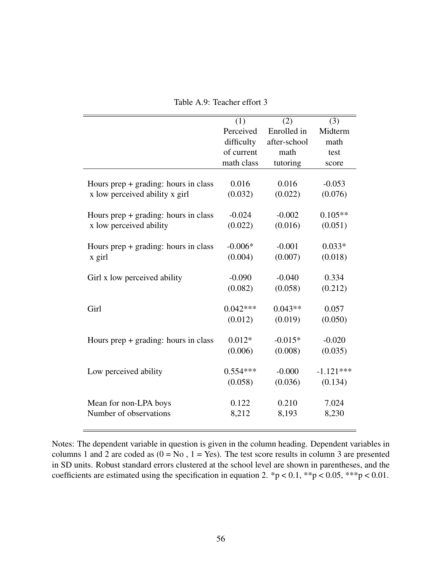|                                        | (1)        | (2)          | (3)         |
|----------------------------------------|------------|--------------|-------------|
|                                        | Perceived  | Enrolled in  | Midterm     |
|                                        | difficulty | after-school | math        |
|                                        | of current | math         | test        |
|                                        | math class | tutoring     | score       |
|                                        |            |              |             |
| Hours prep $+$ grading: hours in class | 0.016      | 0.016        | $-0.053$    |
| x low perceived ability x girl         | (0.032)    | (0.022)      | (0.076)     |
|                                        |            |              |             |
| Hours prep $+$ grading: hours in class | $-0.024$   | $-0.002$     | $0.105**$   |
| x low perceived ability                | (0.022)    | (0.016)      | (0.051)     |
|                                        |            |              |             |
| Hours prep $+$ grading: hours in class | $-0.006*$  | $-0.001$     | $0.033*$    |
| x girl                                 | (0.004)    | (0.007)      | (0.018)     |
|                                        |            |              |             |
| Girl x low perceived ability           | $-0.090$   | $-0.040$     | 0.334       |
|                                        | (0.082)    | (0.058)      | (0.212)     |
|                                        |            |              |             |
| Girl                                   | $0.042***$ | $0.043**$    | 0.057       |
|                                        | (0.012)    | (0.019)      | (0.050)     |
|                                        |            |              |             |
| Hours prep $+$ grading: hours in class | $0.012*$   | $-0.015*$    | $-0.020$    |
|                                        | (0.006)    | (0.008)      | (0.035)     |
|                                        |            |              |             |
| Low perceived ability                  | $0.554***$ | $-0.000$     | $-1.121***$ |
|                                        | (0.058)    | (0.036)      | (0.134)     |
|                                        |            |              |             |
| Mean for non-LPA boys                  | 0.122      | 0.210        | 7.024       |
| Number of observations                 | 8,212      | 8,193        | 8,230       |
|                                        |            |              |             |

Table A.9: Teacher effort 3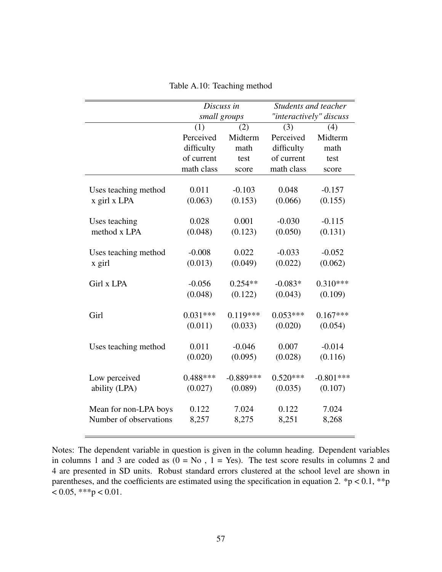| Table A.10: Teaching method |  |  |
|-----------------------------|--|--|
|-----------------------------|--|--|

|                        | Discuss in   |             | Students and teacher    |             |
|------------------------|--------------|-------------|-------------------------|-------------|
|                        | small groups |             | "interactively" discuss |             |
|                        | (1)          | (2)         | (3)                     | (4)         |
|                        | Perceived    | Midterm     | Perceived               | Midterm     |
|                        | difficulty   | math        | difficulty              | math        |
|                        | of current   | test        | of current              | test        |
|                        | math class   | score       | math class              | score       |
|                        |              |             |                         |             |
| Uses teaching method   | 0.011        | $-0.103$    | 0.048                   | $-0.157$    |
| x girl x LPA           | (0.063)      | (0.153)     | (0.066)                 | (0.155)     |
|                        |              |             |                         |             |
| Uses teaching          | 0.028        | 0.001       | $-0.030$                | $-0.115$    |
| method x LPA           | (0.048)      | (0.123)     | (0.050)                 | (0.131)     |
|                        |              |             |                         |             |
| Uses teaching method   | $-0.008$     | 0.022       | $-0.033$                | $-0.052$    |
| x girl                 | (0.013)      | (0.049)     | (0.022)                 | (0.062)     |
|                        |              |             |                         |             |
| Girl x LPA             | $-0.056$     | $0.254**$   | $-0.083*$               | $0.310***$  |
|                        | (0.048)      | (0.122)     | (0.043)                 | (0.109)     |
| Girl                   | $0.031***$   | $0.119***$  | $0.053***$              | $0.167***$  |
|                        | (0.011)      | (0.033)     | (0.020)                 | (0.054)     |
|                        |              |             |                         |             |
| Uses teaching method   | 0.011        | $-0.046$    | 0.007                   | $-0.014$    |
|                        | (0.020)      | (0.095)     | (0.028)                 | (0.116)     |
|                        |              |             |                         |             |
| Low perceived          | $0.488***$   | $-0.889***$ | $0.520***$              | $-0.801***$ |
| ability (LPA)          | (0.027)      | (0.089)     | (0.035)                 | (0.107)     |
|                        |              |             |                         |             |
| Mean for non-LPA boys  | 0.122        | 7.024       | 0.122                   | 7.024       |
| Number of observations | 8,257        | 8,275       | 8,251                   | 8,268       |
|                        |              |             |                         |             |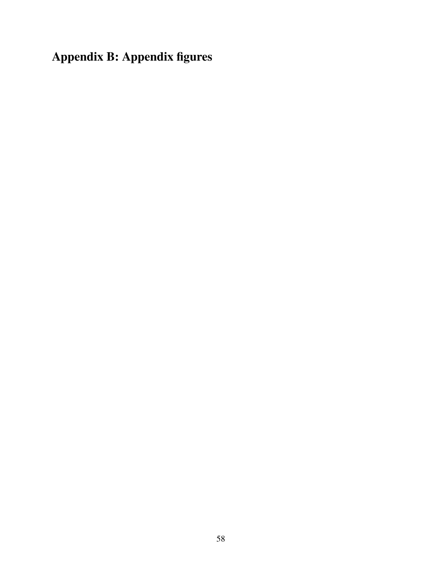Appendix B: Appendix figures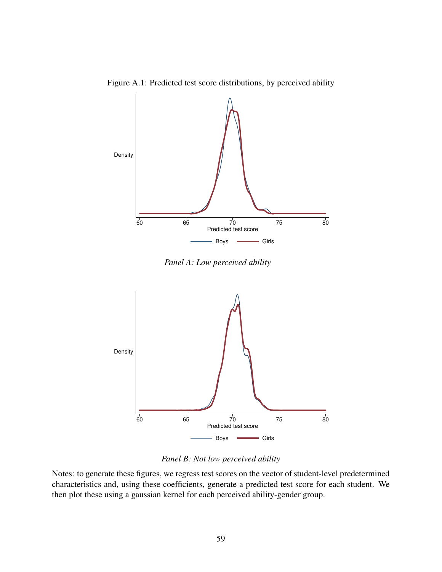Figure A.1: Predicted test score distributions, by perceived ability



*Panel A: Low perceived ability*



*Panel B: Not low perceived ability*

Notes: to generate these figures, we regress test scores on the vector of student-level predetermined characteristics and, using these coefficients, generate a predicted test score for each student. We then plot these using a gaussian kernel for each perceived ability-gender group.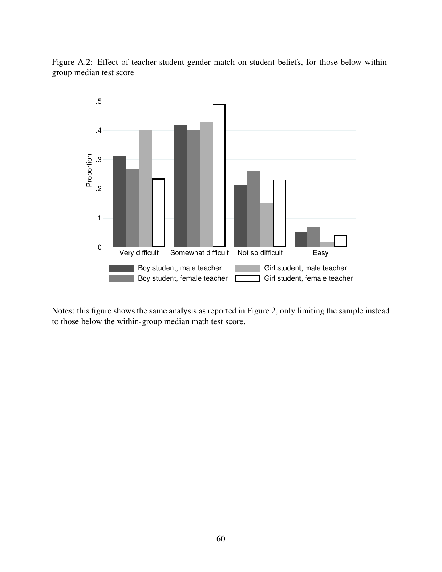Figure A.2: Effect of teacher-student gender match on student beliefs, for those below withingroup median test score



Notes: this figure shows the same analysis as reported in Figure 2, only limiting the sample instead to those below the within-group median math test score.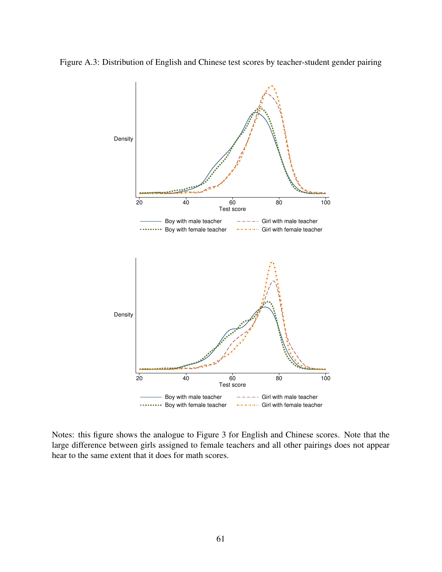



Notes: this figure shows the analogue to Figure 3 for English and Chinese scores. Note that the large difference between girls assigned to female teachers and all other pairings does not appear hear to the same extent that it does for math scores.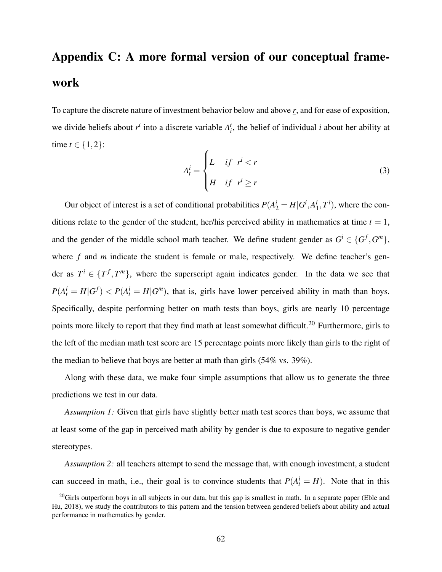# Appendix C: A more formal version of our conceptual framework

To capture the discrete nature of investment behavior below and above *r*, and for ease of exposition, we divide beliefs about  $r^i$  into a discrete variable  $A_i^t$ , the belief of individual *i* about her ability at time  $t \in \{1, 2\}$ :

$$
A_t^i = \begin{cases} L & \text{if } r^i < \underline{r} \\ H & \text{if } r^i \ge \underline{r} \end{cases} \tag{3}
$$

Our object of interest is a set of conditional probabilities  $P(A_2^i = H | G^i, A_1^i)$  $i<sub>1</sub>$ ,  $T<sup>i</sup>$ ), where the conditions relate to the gender of the student, her/his perceived ability in mathematics at time  $t = 1$ , and the gender of the middle school math teacher. We define student gender as  $G^i \in \{G^f, G^m\}$ , where *f* and *m* indicate the student is female or male, respectively. We define teacher's gender as  $T^i \in \{T^f, T^m\}$ , where the superscript again indicates gender. In the data we see that  $P(A_t^i = H | G^f) < P(A_t^i = H | G^m)$ , that is, girls have lower perceived ability in math than boys. Specifically, despite performing better on math tests than boys, girls are nearly 10 percentage points more likely to report that they find math at least somewhat difficult.<sup>20</sup> Furthermore, girls to the left of the median math test score are 15 percentage points more likely than girls to the right of the median to believe that boys are better at math than girls (54% vs. 39%).

Along with these data, we make four simple assumptions that allow us to generate the three predictions we test in our data.

*Assumption 1:* Given that girls have slightly better math test scores than boys, we assume that at least some of the gap in perceived math ability by gender is due to exposure to negative gender stereotypes.

*Assumption 2:* all teachers attempt to send the message that, with enough investment, a student can succeed in math, i.e., their goal is to convince students that  $P(A_t^i = H)$ . Note that in this

<sup>&</sup>lt;sup>20</sup>Girls outperform boys in all subjects in our data, but this gap is smallest in math. In a separate paper (Eble and Hu, 2018), we study the contributors to this pattern and the tension between gendered beliefs about ability and actual performance in mathematics by gender.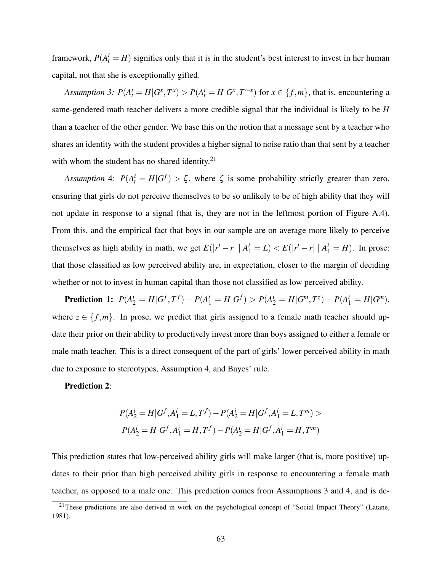framework,  $P(A_t^i = H)$  signifies only that it is in the student's best interest to invest in her human capital, not that she is exceptionally gifted.

Assumption 3:  $P(A_t^i = H | G^x, T^x) > P(A_t^i = H | G^x, T^{-x})$  for  $x \in \{f, m\}$ , that is, encountering a same-gendered math teacher delivers a more credible signal that the individual is likely to be *H* than a teacher of the other gender. We base this on the notion that a message sent by a teacher who shares an identity with the student provides a higher signal to noise ratio than that sent by a teacher with whom the student has no shared identity. $2<sup>1</sup>$ 

*Assumption* 4:  $P(A_t^i = H | G^f) > \zeta$ , where  $\zeta$  is some probability strictly greater than zero, ensuring that girls do not perceive themselves to be so unlikely to be of high ability that they will not update in response to a signal (that is, they are not in the leftmost portion of Figure A.4). From this, and the empirical fact that boys in our sample are on average more likely to perceive themselves as high ability in math, we get  $E(|r^i - \underline{r}| | A_1^i = L) < E(|r^i - \underline{r}| | A_1^i = H)$ . In prose: that those classified as low perceived ability are, in expectation, closer to the margin of deciding whether or not to invest in human capital than those not classified as low perceived ability.

**Prediction 1:**  $P(A_2^i = H | G^f, T^f) - P(A_1^i = H | G^f) > P(A_2^i = H | G^m, T^z) - P(A_1^i = H | G^m)$ , where  $z \in \{f, m\}$ . In prose, we predict that girls assigned to a female math teacher should update their prior on their ability to productively invest more than boys assigned to either a female or male math teacher. This is a direct consequent of the part of girls' lower perceived ability in math due to exposure to stereotypes, Assumption 4, and Bayes' rule.

#### Prediction 2:

$$
P(A_2^i = H | G^f, A_1^i = L, T^f) - P(A_2^i = H | G^f, A_1^i = L, T^m) >
$$
  

$$
P(A_2^i = H | G^f, A_1^i = H, T^f) - P(A_2^i = H | G^f, A_1^i = H, T^m)
$$

This prediction states that low-perceived ability girls will make larger (that is, more positive) updates to their prior than high perceived ability girls in response to encountering a female math teacher, as opposed to a male one. This prediction comes from Assumptions 3 and 4, and is de-

<sup>&</sup>lt;sup>21</sup>These predictions are also derived in work on the psychological concept of "Social Impact Theory" (Latane, 1981).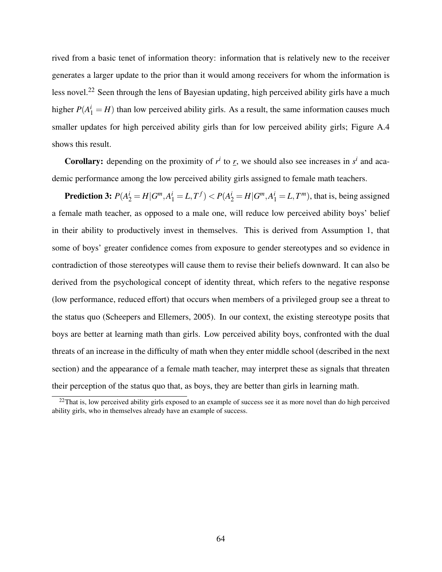rived from a basic tenet of information theory: information that is relatively new to the receiver generates a larger update to the prior than it would among receivers for whom the information is less novel.<sup>22</sup> Seen through the lens of Bayesian updating, high perceived ability girls have a much higher  $P(A_1^i = H)$  than low perceived ability girls. As a result, the same information causes much smaller updates for high perceived ability girls than for low perceived ability girls; Figure A.4 shows this result.

**Corollary:** depending on the proximity of  $r^i$  to  $r$ , we should also see increases in  $s^i$  and academic performance among the low perceived ability girls assigned to female math teachers.

**Prediction 3:**  $P(A_2^i = H | G^m, A_1^i = L, T^f) < P(A_2^i = H | G^m, A_1^i = L, T^m)$ , that is, being assigned a female math teacher, as opposed to a male one, will reduce low perceived ability boys' belief in their ability to productively invest in themselves. This is derived from Assumption 1, that some of boys' greater confidence comes from exposure to gender stereotypes and so evidence in contradiction of those stereotypes will cause them to revise their beliefs downward. It can also be derived from the psychological concept of identity threat, which refers to the negative response (low performance, reduced effort) that occurs when members of a privileged group see a threat to the status quo (Scheepers and Ellemers, 2005). In our context, the existing stereotype posits that boys are better at learning math than girls. Low perceived ability boys, confronted with the dual threats of an increase in the difficulty of math when they enter middle school (described in the next section) and the appearance of a female math teacher, may interpret these as signals that threaten their perception of the status quo that, as boys, they are better than girls in learning math.

 $22$ That is, low perceived ability girls exposed to an example of success see it as more novel than do high perceived ability girls, who in themselves already have an example of success.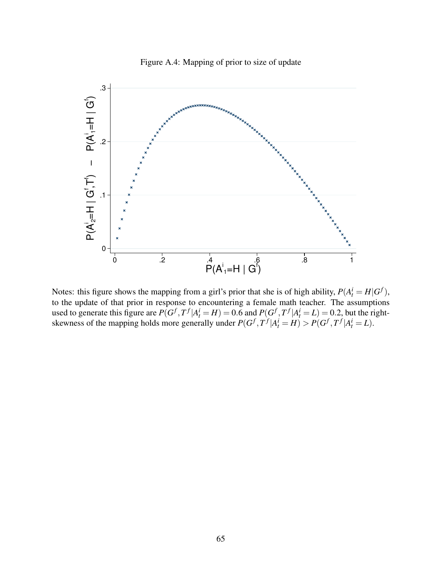

Figure A.4: Mapping of prior to size of update

Notes: this figure shows the mapping from a girl's prior that she is of high ability,  $P(A_t^i = H | G^f)$ , to the update of that prior in response to encountering a female math teacher. The assumptions used to generate this figure are  $P(G^f, T^f | A^i_t = H) = 0.6$  and  $P(G^f, T^f | A^i_t = L) = 0.2$ , but the rightskewness of the mapping holds more generally under  $P(G^f, T^f | A_t^i = H) > P(G^f, T^f | A_t^i = L)$ .